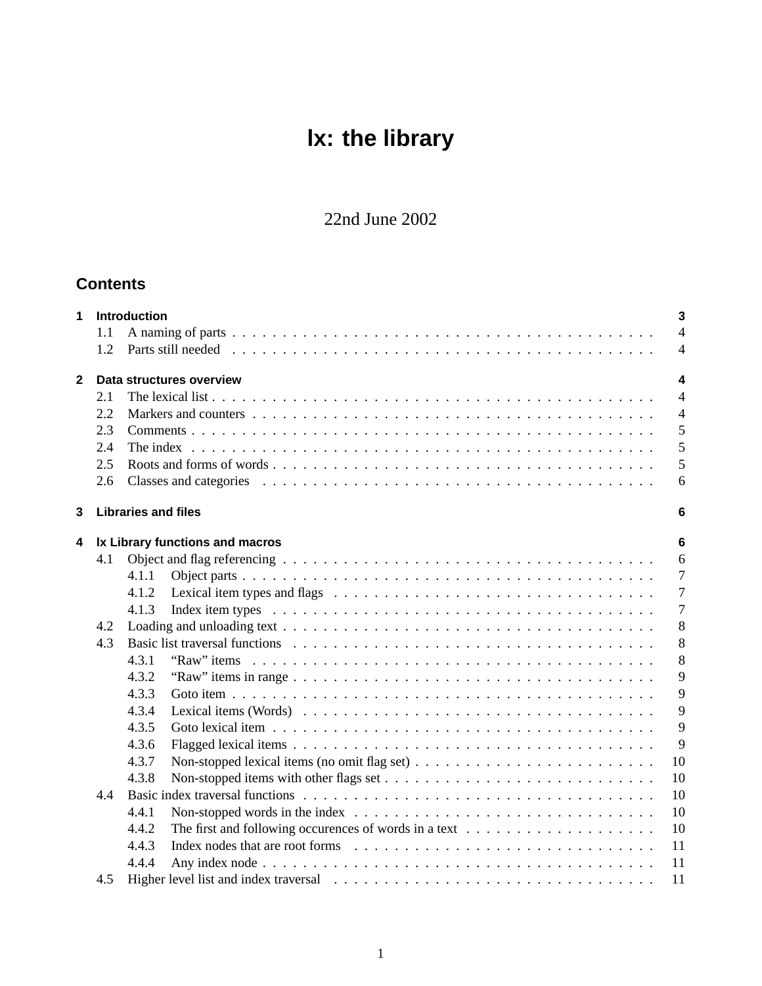# **lx: the library**

## 22nd June 2002

## **Contents**

| 1              |     | Introduction               |                                                                                                                                                                                                                                | 3              |
|----------------|-----|----------------------------|--------------------------------------------------------------------------------------------------------------------------------------------------------------------------------------------------------------------------------|----------------|
|                | 1.1 |                            |                                                                                                                                                                                                                                | $\overline{4}$ |
|                | 1.2 |                            | Parts still needed recovery recovery recovery recovery recovery recovery recovery recovery recovery recovery recovery recovery recovery recovery recovery recovery recovery recovery recovery recovery recovery recovery recov | 4              |
| $\overline{2}$ |     |                            | Data structures overview                                                                                                                                                                                                       | 4              |
|                | 2.1 |                            |                                                                                                                                                                                                                                | $\overline{4}$ |
|                | 2.2 |                            |                                                                                                                                                                                                                                | $\overline{4}$ |
|                | 2.3 |                            |                                                                                                                                                                                                                                | 5              |
|                | 2.4 |                            |                                                                                                                                                                                                                                | 5              |
|                | 2.5 |                            |                                                                                                                                                                                                                                | 5              |
|                | 2.6 |                            |                                                                                                                                                                                                                                | 6              |
| 3              |     | <b>Libraries and files</b> |                                                                                                                                                                                                                                | 6              |
| 4              |     |                            | Ix Library functions and macros                                                                                                                                                                                                | 6              |
|                | 4.1 |                            |                                                                                                                                                                                                                                | 6              |
|                |     | 4.1.1                      |                                                                                                                                                                                                                                | 7              |
|                |     | 4.1.2                      |                                                                                                                                                                                                                                | $\overline{7}$ |
|                |     | 4.1.3                      |                                                                                                                                                                                                                                | $\overline{7}$ |
|                | 4.2 |                            |                                                                                                                                                                                                                                | 8              |
|                | 4.3 |                            | Basic list traversal functions enterprise in the context of the context of the context of the context of the context of the context of the context of the context of the context of the context of the context of the context  | 8              |
|                |     | 4.3.1                      |                                                                                                                                                                                                                                | 8              |
|                |     | 4.3.2                      |                                                                                                                                                                                                                                | 9              |
|                |     | 4.3.3                      |                                                                                                                                                                                                                                | 9              |
|                |     | 4.3.4                      |                                                                                                                                                                                                                                | 9              |
|                |     | 4.3.5                      |                                                                                                                                                                                                                                | 9              |
|                |     | 4.3.6                      |                                                                                                                                                                                                                                | 9              |
|                |     | 4.3.7                      |                                                                                                                                                                                                                                | 10             |
|                |     | 4.3.8                      |                                                                                                                                                                                                                                | 10             |
|                | 4.4 |                            |                                                                                                                                                                                                                                | 10             |
|                |     | 4.4.1                      |                                                                                                                                                                                                                                | 10             |
|                |     | 4.4.2                      | The first and following occurences of words in a text $\dots \dots \dots \dots \dots \dots \dots$                                                                                                                              | 10             |
|                |     | 4.4.3                      |                                                                                                                                                                                                                                | 11             |
|                |     | 4.4.4                      |                                                                                                                                                                                                                                | 11             |
|                | 4.5 |                            |                                                                                                                                                                                                                                | 11             |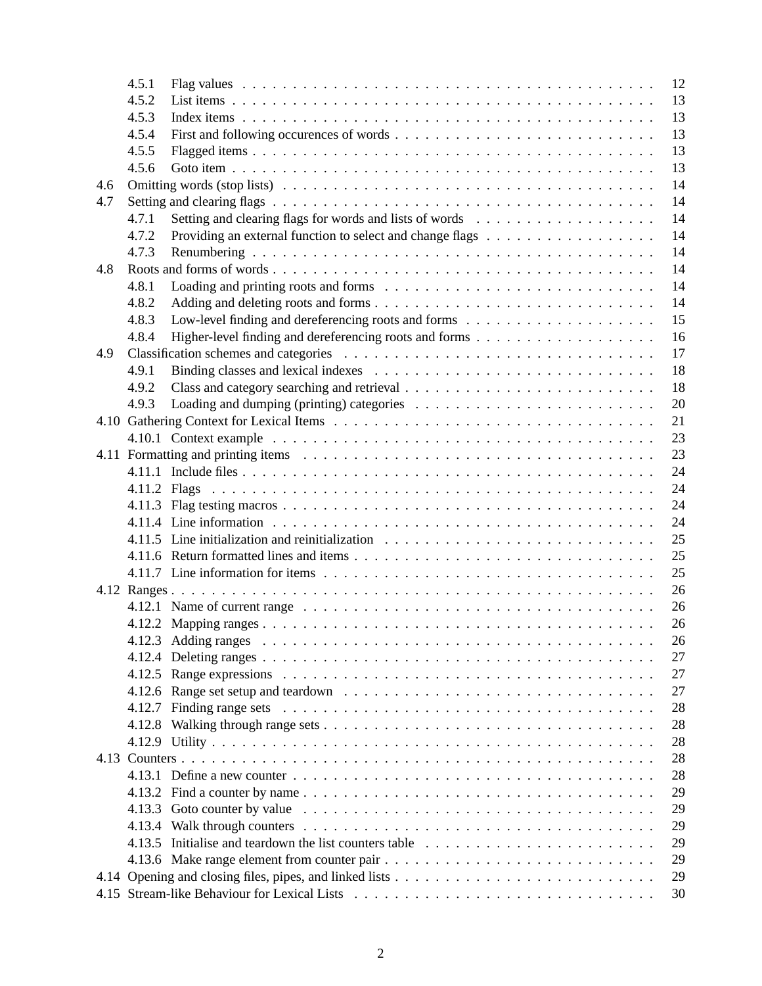|     | 4.5.1 |                                                                                                                          | 12 |
|-----|-------|--------------------------------------------------------------------------------------------------------------------------|----|
|     | 4.5.2 |                                                                                                                          | 13 |
|     | 4.5.3 |                                                                                                                          | 13 |
|     | 4.5.4 |                                                                                                                          | 13 |
|     | 4.5.5 |                                                                                                                          | 13 |
|     | 4.5.6 |                                                                                                                          | 13 |
| 4.6 |       |                                                                                                                          | 14 |
| 4.7 |       |                                                                                                                          | 14 |
|     | 4.7.1 |                                                                                                                          | 14 |
|     | 4.7.2 |                                                                                                                          | 14 |
|     | 4.7.3 |                                                                                                                          | 14 |
| 4.8 |       |                                                                                                                          | 14 |
|     | 4.8.1 |                                                                                                                          | 14 |
|     | 4.8.2 |                                                                                                                          | 14 |
|     | 4.8.3 |                                                                                                                          | 15 |
|     | 4.8.4 |                                                                                                                          | 16 |
| 4.9 |       |                                                                                                                          | 17 |
|     | 4.9.1 |                                                                                                                          | 18 |
|     | 4.9.2 |                                                                                                                          | 18 |
|     | 4.9.3 |                                                                                                                          | 20 |
|     |       |                                                                                                                          | 21 |
|     |       |                                                                                                                          | 23 |
|     |       |                                                                                                                          | 23 |
|     |       |                                                                                                                          | 24 |
|     |       |                                                                                                                          | 24 |
|     |       |                                                                                                                          | 24 |
|     |       |                                                                                                                          | 24 |
|     |       |                                                                                                                          | 25 |
|     |       |                                                                                                                          | 25 |
|     |       |                                                                                                                          | 25 |
|     |       |                                                                                                                          | 26 |
|     |       | 4.12.1 Name of current range $\dots \dots \dots \dots \dots \dots \dots \dots \dots \dots \dots \dots \dots \dots \dots$ | 26 |
|     |       |                                                                                                                          | 26 |
|     |       |                                                                                                                          | 26 |
|     |       |                                                                                                                          | 27 |
|     |       |                                                                                                                          | 27 |
|     |       |                                                                                                                          | 27 |
|     |       |                                                                                                                          | 28 |
|     |       |                                                                                                                          | 28 |
|     |       |                                                                                                                          | 28 |
|     |       |                                                                                                                          | 28 |
|     |       |                                                                                                                          | 28 |
|     |       |                                                                                                                          | 29 |
|     |       |                                                                                                                          | 29 |
|     |       |                                                                                                                          | 29 |
|     |       |                                                                                                                          | 29 |
|     |       |                                                                                                                          | 29 |
|     |       |                                                                                                                          | 29 |
|     |       |                                                                                                                          | 30 |
|     |       |                                                                                                                          |    |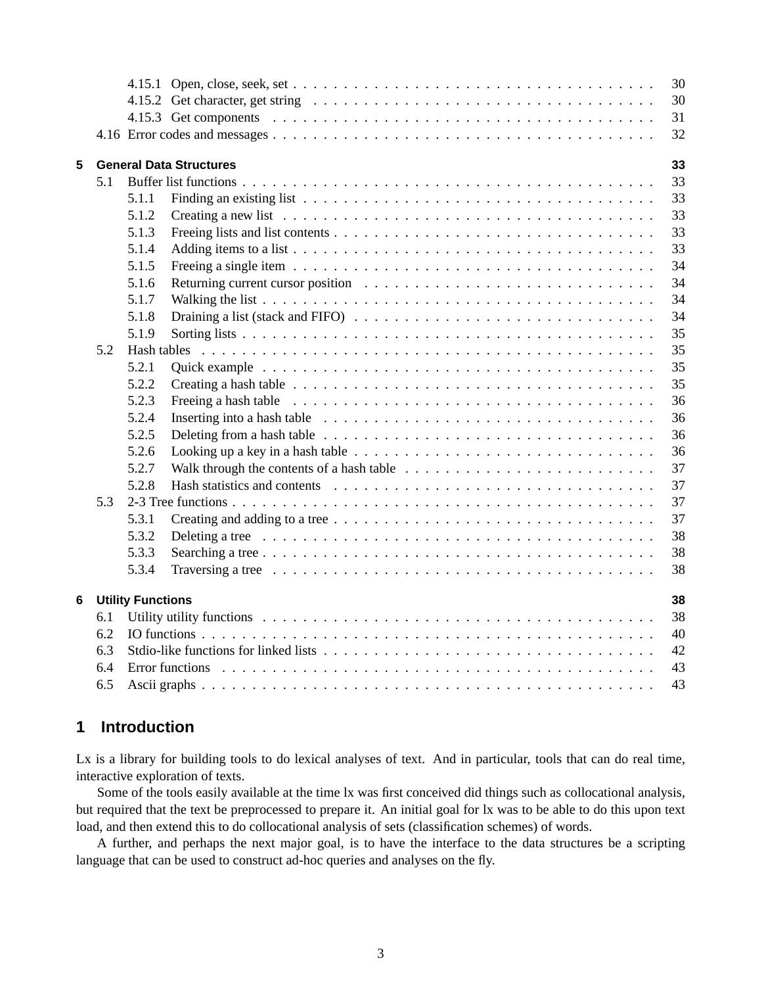|   |     |                          |                                                                                                                  | 30 |
|---|-----|--------------------------|------------------------------------------------------------------------------------------------------------------|----|
|   |     |                          |                                                                                                                  | 30 |
|   |     |                          |                                                                                                                  | 31 |
|   |     |                          |                                                                                                                  | 32 |
| 5 |     |                          | <b>General Data Structures</b>                                                                                   | 33 |
|   | 5.1 |                          |                                                                                                                  | 33 |
|   |     | 5.1.1                    |                                                                                                                  | 33 |
|   |     | 5.1.2                    |                                                                                                                  | 33 |
|   |     | 5.1.3                    |                                                                                                                  | 33 |
|   |     | 5.1.4                    |                                                                                                                  | 33 |
|   |     | 5.1.5                    |                                                                                                                  | 34 |
|   |     | 5.1.6                    |                                                                                                                  | 34 |
|   |     | 5.1.7                    |                                                                                                                  | 34 |
|   |     | 5.1.8                    | Draining a list (stack and FIFO) $\ldots \ldots \ldots \ldots \ldots \ldots \ldots \ldots \ldots \ldots \ldots$  | 34 |
|   |     | 5.1.9                    |                                                                                                                  | 35 |
|   | 5.2 |                          |                                                                                                                  | 35 |
|   |     | 5.2.1                    |                                                                                                                  | 35 |
|   |     | 5.2.2                    |                                                                                                                  | 35 |
|   |     | 5.2.3                    | Freeing a hash table $\dots \dots \dots \dots \dots \dots \dots \dots \dots \dots \dots \dots \dots \dots \dots$ | 36 |
|   |     | 5.2.4                    |                                                                                                                  | 36 |
|   |     | 5.2.5                    |                                                                                                                  | 36 |
|   |     | 5.2.6                    | Looking up a key in a hash table $\ldots \ldots \ldots \ldots \ldots \ldots \ldots \ldots \ldots \ldots \ldots$  | 36 |
|   |     | 5.2.7                    |                                                                                                                  | 37 |
|   |     | 5.2.8                    |                                                                                                                  | 37 |
|   | 5.3 |                          |                                                                                                                  | 37 |
|   |     | 5.3.1                    |                                                                                                                  | 37 |
|   |     | 5.3.2                    |                                                                                                                  | 38 |
|   |     | 5.3.3                    |                                                                                                                  | 38 |
|   |     | 5.3.4                    |                                                                                                                  | 38 |
| 6 |     | <b>Utility Functions</b> |                                                                                                                  | 38 |
|   | 6.1 |                          |                                                                                                                  | 38 |
|   | 6.2 |                          |                                                                                                                  | 40 |
|   | 6.3 |                          |                                                                                                                  | 42 |
|   | 6.4 |                          |                                                                                                                  | 43 |
|   | 6.5 |                          |                                                                                                                  | 43 |
|   |     |                          |                                                                                                                  |    |

## **1 Introduction**

Lx is a library for building tools to do lexical analyses of text. And in particular, tools that can do real time, interactive exploration of texts.

Some of the tools easily available at the time lx was first conceived did things such as collocational analysis, but required that the text be preprocessed to prepare it. An initial goal for lx was to be able to do this upon text load, and then extend this to do collocational analysis of sets (classification schemes) of words.

A further, and perhaps the next major goal, is to have the interface to the data structures be a scripting language that can be used to construct ad-hoc queries and analyses on the fly.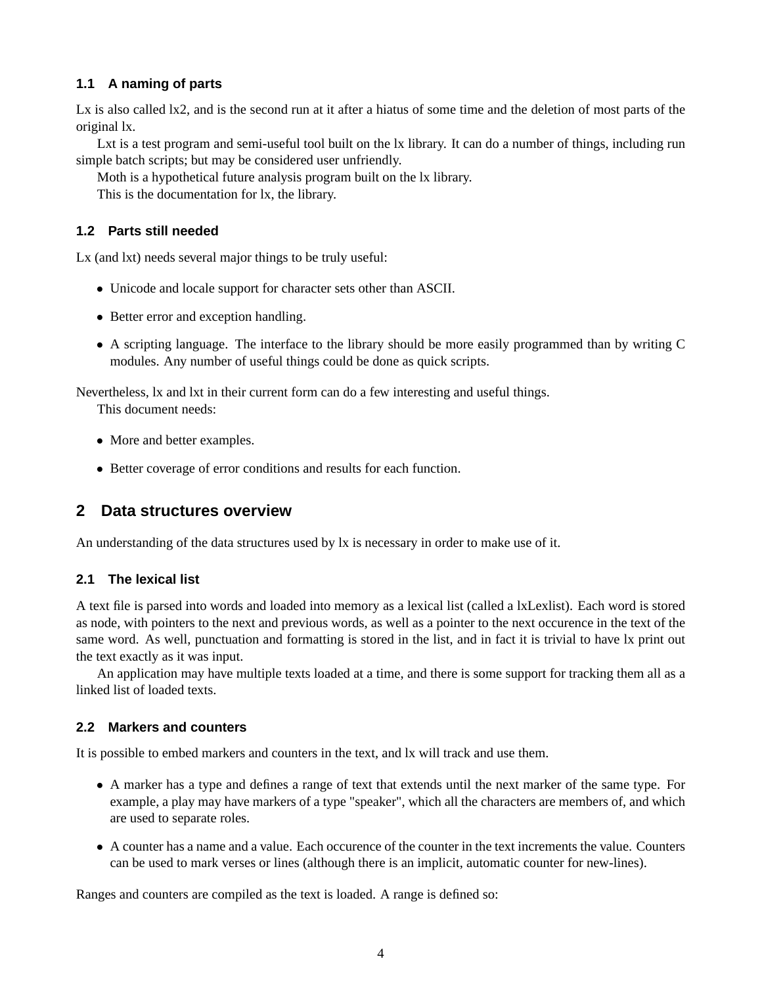## **1.1 A naming of parts**

Lx is also called lx2, and is the second run at it after a hiatus of some time and the deletion of most parts of the original lx.

Lxt is a test program and semi-useful tool built on the lx library. It can do a number of things, including run simple batch scripts; but may be considered user unfriendly.

Moth is a hypothetical future analysis program built on the lx library.

This is the documentation for lx, the library.

## **1.2 Parts still needed**

Lx (and lxt) needs several major things to be truly useful:

- Unicode and locale support for character sets other than ASCII.
- Better error and exception handling.
- A scripting language. The interface to the library should be more easily programmed than by writing C modules. Any number of useful things could be done as quick scripts.

Nevertheless, lx and lxt in their current form can do a few interesting and useful things.

This document needs:

- More and better examples.
- Better coverage of error conditions and results for each function.

## **2 Data structures overview**

An understanding of the data structures used by lx is necessary in order to make use of it.

## **2.1 The lexical list**

A text file is parsed into words and loaded into memory as a lexical list (called a lxLexlist). Each word is stored as node, with pointers to the next and previous words, as well as a pointer to the next occurence in the text of the same word. As well, punctuation and formatting is stored in the list, and in fact it is trivial to have lx print out the text exactly as it was input.

An application may have multiple texts loaded at a time, and there is some support for tracking them all as a linked list of loaded texts.

## **2.2 Markers and counters**

It is possible to embed markers and counters in the text, and lx will track and use them.

- A marker has a type and defines a range of text that extends until the next marker of the same type. For example, a play may have markers of a type "speaker", which all the characters are members of, and which are used to separate roles.
- A counter has a name and a value. Each occurence of the counter in the text increments the value. Counters can be used to mark verses or lines (although there is an implicit, automatic counter for new-lines).

Ranges and counters are compiled as the text is loaded. A range is defined so: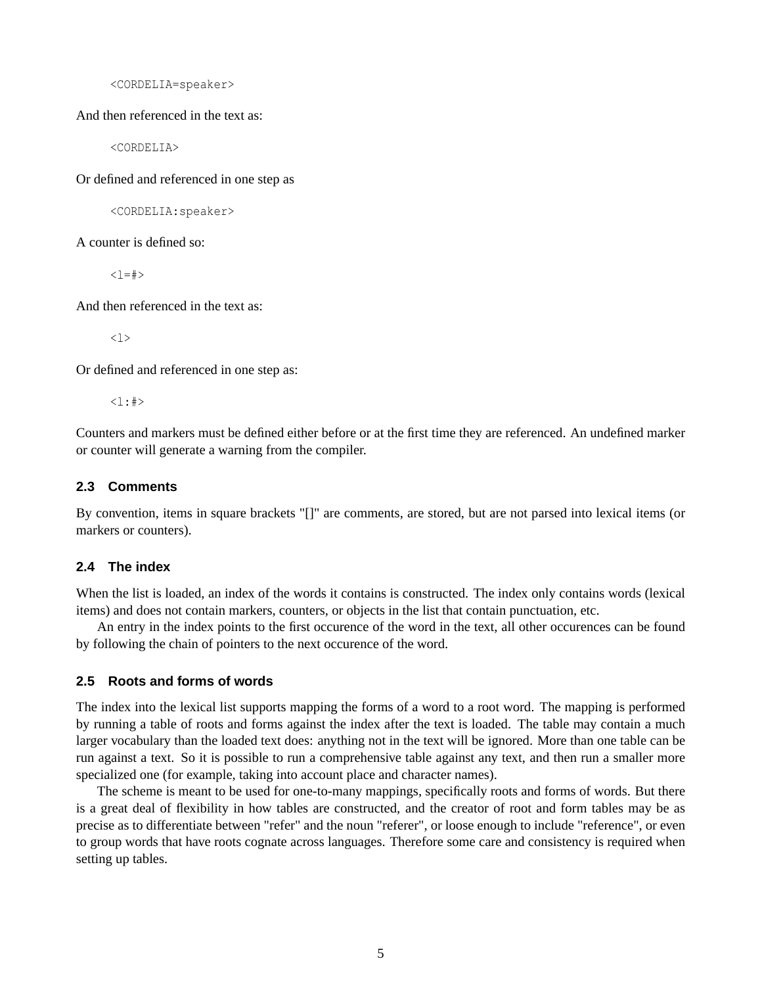<CORDELIA=speaker>

And then referenced in the text as:

<CORDELIA>

Or defined and referenced in one step as

<CORDELIA:speaker>

A counter is defined so:

 $< l = #>$ 

And then referenced in the text as:

 $\langle$ ] $>$ 

Or defined and referenced in one step as:

 $<1:$ #>

Counters and markers must be defined either before or at the first time they are referenced. An undefined marker or counter will generate a warning from the compiler.

#### **2.3 Comments**

By convention, items in square brackets "[]" are comments, are stored, but are not parsed into lexical items (or markers or counters).

#### **2.4 The index**

When the list is loaded, an index of the words it contains is constructed. The index only contains words (lexical items) and does not contain markers, counters, or objects in the list that contain punctuation, etc.

An entry in the index points to the first occurence of the word in the text, all other occurences can be found by following the chain of pointers to the next occurence of the word.

#### **2.5 Roots and forms of words**

The index into the lexical list supports mapping the forms of a word to a root word. The mapping is performed by running a table of roots and forms against the index after the text is loaded. The table may contain a much larger vocabulary than the loaded text does: anything not in the text will be ignored. More than one table can be run against a text. So it is possible to run a comprehensive table against any text, and then run a smaller more specialized one (for example, taking into account place and character names).

The scheme is meant to be used for one-to-many mappings, specifically roots and forms of words. But there is a great deal of flexibility in how tables are constructed, and the creator of root and form tables may be as precise as to differentiate between "refer" and the noun "referer", or loose enough to include "reference", or even to group words that have roots cognate across languages. Therefore some care and consistency is required when setting up tables.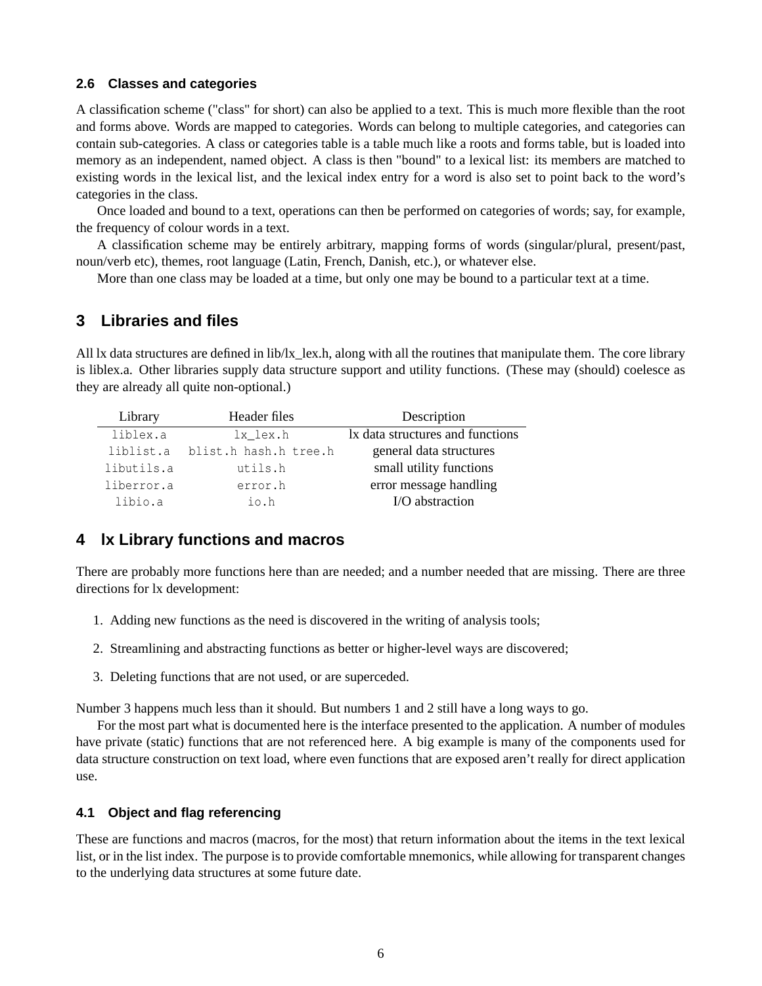#### **2.6 Classes and categories**

A classification scheme ("class" for short) can also be applied to a text. This is much more flexible than the root and forms above. Words are mapped to categories. Words can belong to multiple categories, and categories can contain sub-categories. A class or categories table is a table much like a roots and forms table, but is loaded into memory as an independent, named object. A class is then "bound" to a lexical list: its members are matched to existing words in the lexical list, and the lexical index entry for a word is also set to point back to the word's categories in the class.

Once loaded and bound to a text, operations can then be performed on categories of words; say, for example, the frequency of colour words in a text.

A classification scheme may be entirely arbitrary, mapping forms of words (singular/plural, present/past, noun/verb etc), themes, root language (Latin, French, Danish, etc.), or whatever else.

More than one class may be loaded at a time, but only one may be bound to a particular text at a time.

### **3 Libraries and files**

All lx data structures are defined in lib/lx\_lex.h, along with all the routines that manipulate them. The core library is liblex.a. Other libraries supply data structure support and utility functions. (These may (should) coelesce as they are already all quite non-optional.)

| Library    | Header files          | Description                      |  |  |
|------------|-----------------------|----------------------------------|--|--|
| liblex.a   | lx lex.h              | Ix data structures and functions |  |  |
| liblist.a  | blist.h hash.h tree.h | general data structures          |  |  |
| libutils.a | utils.h               | small utility functions          |  |  |
| liberror.a | error.h               | error message handling           |  |  |
| libio.a    | io.h                  | I/O abstraction                  |  |  |

## **4 lx Library functions and macros**

There are probably more functions here than are needed; and a number needed that are missing. There are three directions for lx development:

- 1. Adding new functions as the need is discovered in the writing of analysis tools;
- 2. Streamlining and abstracting functions as better or higher-level ways are discovered;
- 3. Deleting functions that are not used, or are superceded.

Number 3 happens much less than it should. But numbers 1 and 2 still have a long ways to go.

For the most part what is documented here is the interface presented to the application. A number of modules have private (static) functions that are not referenced here. A big example is many of the components used for data structure construction on text load, where even functions that are exposed aren't really for direct application use.

#### **4.1 Object and flag referencing**

These are functions and macros (macros, for the most) that return information about the items in the text lexical list, or in the list index. The purpose is to provide comfortable mnemonics, while allowing for transparent changes to the underlying data structures at some future date.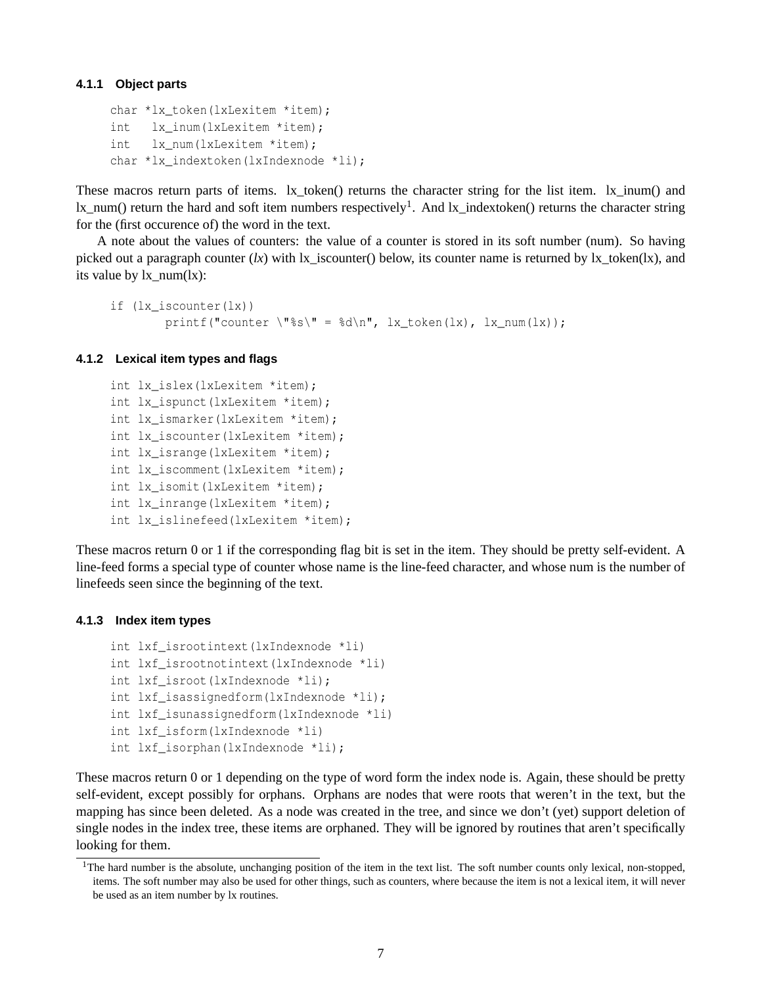#### **4.1.1 Object parts**

```
char *lx_token(lxLexitem *item);
int lx_inum(lxLexitem *item);
int lx_num(lxLexitem *item);
char *lx_indextoken(lxIndexnode *li);
```
These macros return parts of items. Ix\_token() returns the character string for the list item. Ix\_inum() and lx\_num() return the hard and soft item numbers respectively<sup>1</sup>. And lx\_indextoken() returns the character string for the (first occurence of) the word in the text.

A note about the values of counters: the value of a counter is stored in its soft number (num). So having picked out a paragraph counter (*lx*) with lx\_iscounter() below, its counter name is returned by lx\_token(lx), and its value by  $lx$  num $(lx)$ :

```
if (lx_iscounter(lx))
        printf("counter \"%s\" = %d\n", lx_token(lx), lx_num(lx));
```
#### **4.1.2 Lexical item types and flags**

```
int lx islex(lxLexitem *item);
int lx_ispunct(lxLexitem *item);
int lx ismarker(lxLexitem *item);
int lx iscounter(lxLexitem *item);
int lx_isrange(lxLexitem *item);
int lx iscomment(lxLexitem *item);
int lx_isomit(lxLexitem *item);
int lx inrange(lxLexitem *item);
int lx_islinefeed(lxLexitem *item);
```
These macros return 0 or 1 if the corresponding flag bit is set in the item. They should be pretty self-evident. A line-feed forms a special type of counter whose name is the line-feed character, and whose num is the number of linefeeds seen since the beginning of the text.

#### **4.1.3 Index item types**

```
int lxf_isrootintext(lxIndexnode *li)
int lxf_isrootnotintext(lxIndexnode *li)
int lxf isroot(lxIndexnode *li);
int lxf isassignedform(lxIndexnode *li);
int lxf_isunassignedform(lxIndexnode *li)
int lxf_isform(lxIndexnode *li)
int lxf_isorphan(lxIndexnode *li);
```
These macros return 0 or 1 depending on the type of word form the index node is. Again, these should be pretty self-evident, except possibly for orphans. Orphans are nodes that were roots that weren't in the text, but the mapping has since been deleted. As a node was created in the tree, and since we don't (yet) support deletion of single nodes in the index tree, these items are orphaned. They will be ignored by routines that aren't specifically looking for them.

<sup>&</sup>lt;sup>1</sup>The hard number is the absolute, unchanging position of the item in the text list. The soft number counts only lexical, non-stopped, items. The soft number may also be used for other things, such as counters, where because the item is not a lexical item, it will never be used as an item number by lx routines.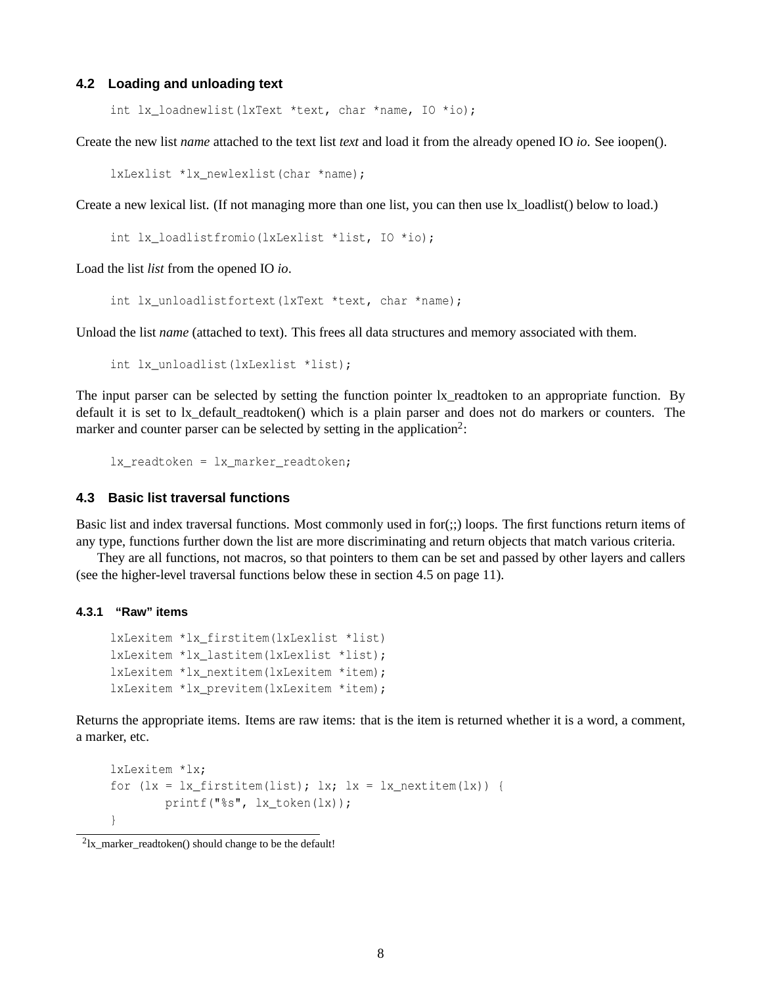#### **4.2 Loading and unloading text**

int lx\_loadnewlist(lxText \*text, char \*name, IO \*io);

Create the new list *name* attached to the text list *text* and load it from the already opened IO *io*. See ioopen().

lxLexlist \*lx newlexlist(char \*name);

Create a new lexical list. (If not managing more than one list, you can then use lx\_loadlist() below to load.)

int lx loadlistfromio(lxLexlist \*list, IO \*io);

Load the list *list* from the opened IO *io*.

int lx\_unloadlistfortext(lxText \*text, char \*name);

Unload the list *name* (attached to text). This frees all data structures and memory associated with them.

int lx\_unloadlist(lxLexlist \*list);

The input parser can be selected by setting the function pointer lx\_readtoken to an appropriate function. By default it is set to lx\_default\_readtoken() which is a plain parser and does not do markers or counters. The marker and counter parser can be selected by setting in the application<sup>2</sup>:

lx\_readtoken = lx\_marker\_readtoken;

#### **4.3 Basic list traversal functions**

Basic list and index traversal functions. Most commonly used in for(;;) loops. The first functions return items of any type, functions further down the list are more discriminating and return objects that match various criteria.

They are all functions, not macros, so that pointers to them can be set and passed by other layers and callers (see the higher-level traversal functions below these in section 4.5 on page 11).

#### **4.3.1 "Raw" items**

```
lxLexitem *lx_firstitem(lxLexlist *list)
lxLexitem *lx lastitem(lxLexlist *list);
lxLexitem *lx_nextitem(lxLexitem *item);
lxLexitem *lx_previtem(lxLexitem *item);
```
Returns the appropriate items. Items are raw items: that is the item is returned whether it is a word, a comment, a marker, etc.

```
lxLexitem *lx;
for (lx = lx_f)irstitem(list); lx; lx = lx_pnextitem(lx)) {
        printf("%s", lx token(lx));
}
```
<sup>&</sup>lt;sup>2</sup>lx\_marker\_readtoken() should change to be the default!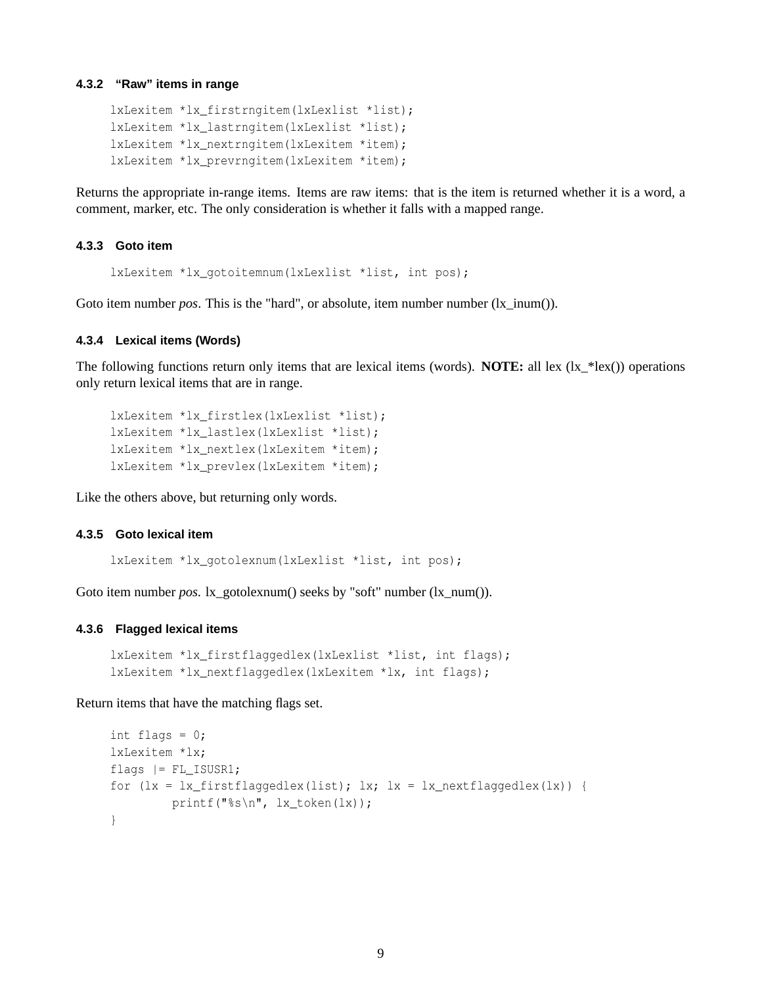#### **4.3.2 "Raw" items in range**

```
lxLexitem *lx_firstrngitem(lxLexlist *list);
lxLexitem *lx_lastrngitem(lxLexlist *list);
lxLexitem *lx_nextrngitem(lxLexitem *item);
lxLexitem *lx_prevrngitem(lxLexitem *item);
```
Returns the appropriate in-range items. Items are raw items: that is the item is returned whether it is a word, a comment, marker, etc. The only consideration is whether it falls with a mapped range.

#### **4.3.3 Goto item**

lxLexitem \*lx\_gotoitemnum(lxLexlist \*list, int pos);

Goto item number *pos*. This is the "hard", or absolute, item number number (lx\_inum()).

#### **4.3.4 Lexical items (Words)**

The following functions return only items that are lexical items (words). **NOTE:** all lex  $(lx_1 * lex(l))$  operations only return lexical items that are in range.

```
lxLexitem *lx_firstlex(lxLexlist *list);
lxLexitem *lx_lastlex(lxLexlist *list);
lxLexitem *lx_nextlex(lxLexitem *item);
lxLexitem *lx_prevlex(lxLexitem *item);
```
Like the others above, but returning only words.

#### **4.3.5 Goto lexical item**

lxLexitem \*lx\_gotolexnum(lxLexlist \*list, int pos);

Goto item number *pos.* lx\_gotolexnum() seeks by "soft" number (lx\_num()).

#### **4.3.6 Flagged lexical items**

```
lxLexitem *lx_firstflaggedlex(lxLexlist *list, int flags);
lxLexitem *lx_nextflaggedlex(lxLexitem *lx, int flags);
```
Return items that have the matching flags set.

```
int flags = 0;
lxLexitem *lx;
flags |= FL ISUSR1;
for (lx = lx_f) isteration (list); lx; lx = lx_nextflaggedlex(lx)) {
        printf("%s\n", lx_token(lx));
}
```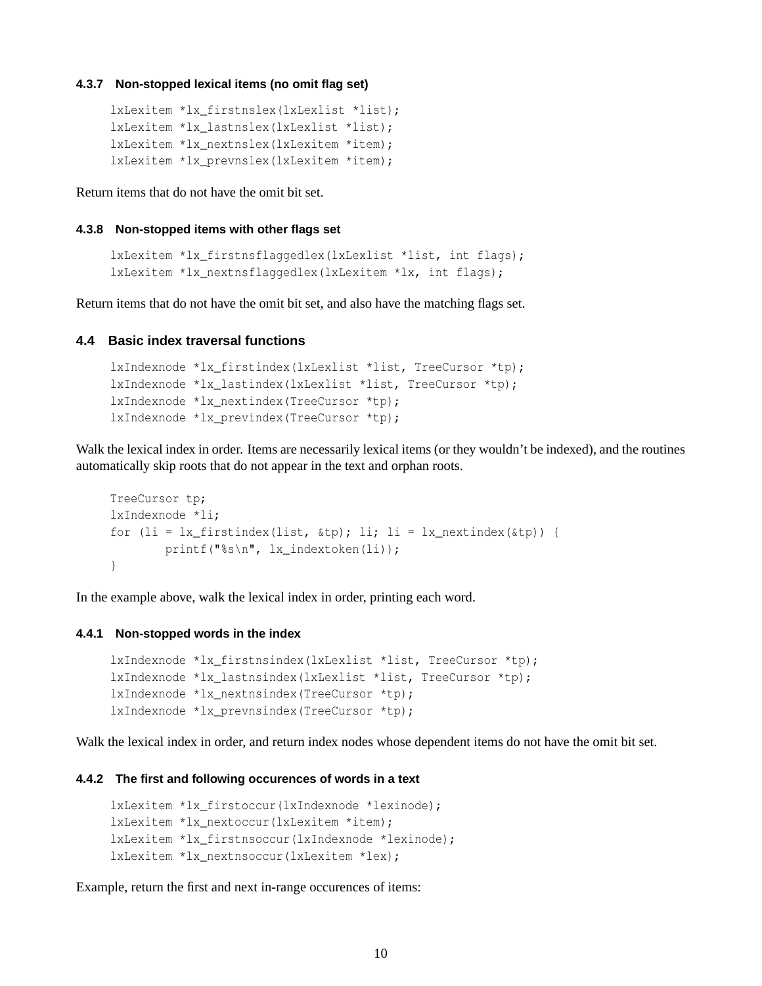#### **4.3.7 Non-stopped lexical items (no omit flag set)**

```
lxLexitem *lx_firstnslex(lxLexlist *list);
lxLexitem *lx lastnslex(lxLexlist *list);
lxLexitem *lx_nextnslex(lxLexitem *item);
lxLexitem *lx_prevnslex(lxLexitem *item);
```
Return items that do not have the omit bit set.

#### **4.3.8 Non-stopped items with other flags set**

```
lxLexitem *lx firstnsflaggedlex(lxLexlist *list, int flags);
lxLexitem *lx_nextnsflaggedlex(lxLexitem *lx, int flags);
```
Return items that do not have the omit bit set, and also have the matching flags set.

#### **4.4 Basic index traversal functions**

```
lxIndexnode *lx_firstindex(lxLexlist *list, TreeCursor *tp);
lxIndexnode *lx_lastindex(lxLexlist *list, TreeCursor *tp);
lxIndexnode *lx_nextindex(TreeCursor *tp);
lxIndexnode *lx_previndex(TreeCursor *tp);
```
Walk the lexical index in order. Items are necessarily lexical items (or they wouldn't be indexed), and the routines automatically skip roots that do not appear in the text and orphan roots.

```
TreeCursor tp;
lxIndexnode *li;
for (li = lx_f firstindex(list, &tp); li; li = lx_p nextindex(&tp)) {
        printf("%s\n", lx_indextoken(li));
}
```
In the example above, walk the lexical index in order, printing each word.

#### **4.4.1 Non-stopped words in the index**

```
lxIndexnode *lx_firstnsindex(lxLexlist *list, TreeCursor *tp);
lxIndexnode *lx_lastnsindex(lxLexlist *list, TreeCursor *tp);
lxIndexnode *lx_nextnsindex(TreeCursor *tp);
lxIndexnode *lx_prevnsindex(TreeCursor *tp);
```
Walk the lexical index in order, and return index nodes whose dependent items do not have the omit bit set.

#### **4.4.2 The first and following occurences of words in a text**

```
lxLexitem *lx firstoccur(lxIndexnode *lexinode);
lxLexitem *lx_nextoccur(lxLexitem *item);
lxLexitem *lx_firstnsoccur(lxIndexnode *lexinode);
lxLexitem *lx_nextnsoccur(lxLexitem *lex);
```
Example, return the first and next in-range occurences of items: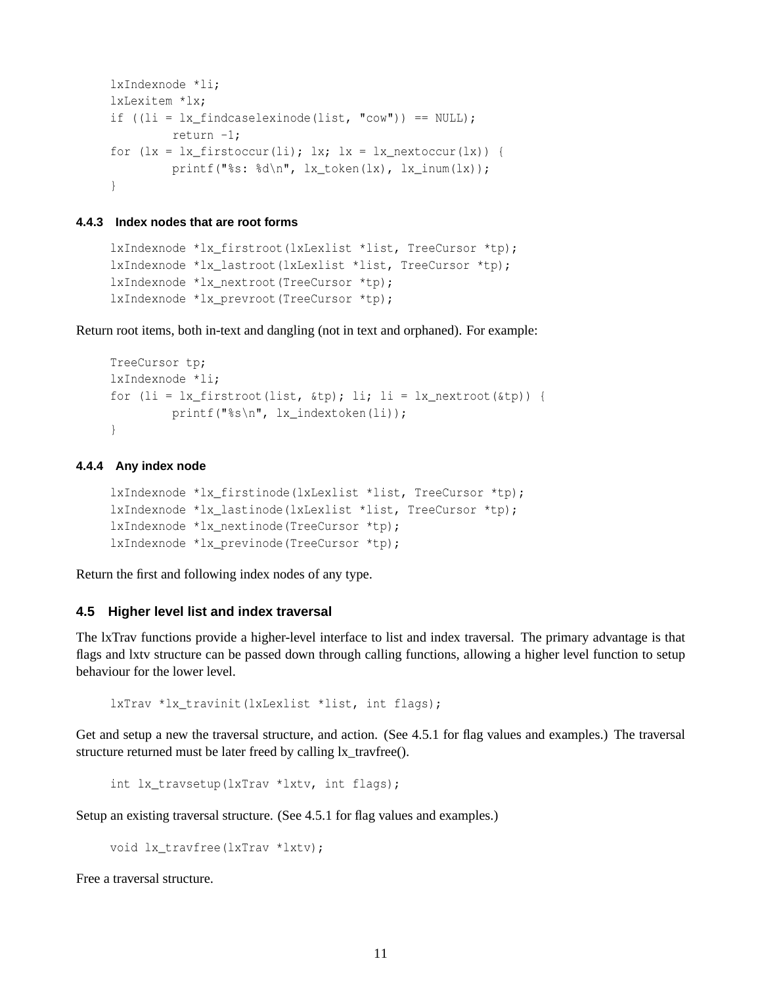```
lxIndexnode *li;
lxLexitem *lx;
if ((li = lx_findcaselexinode(list, "cow")) == NULL);return -1;
for (lx = lx firstoccur(li); lx; lx = lx nextoccur(lx)) {
        printf("%s: %d\n", lx_token(lx), lx_inum(lx));
}
```
#### **4.4.3 Index nodes that are root forms**

```
lxIndexnode *lx firstroot(lxLexlist *list, TreeCursor *tp);
lxIndexnode *lx_lastroot(lxLexlist *list, TreeCursor *tp);
lxIndexnode *lx_nextroot(TreeCursor *tp);
lxIndexnode *lx_prevroot(TreeCursor *tp);
```
Return root items, both in-text and dangling (not in text and orphaned). For example:

```
TreeCursor tp;
lxIndexnode *li;
for (li = lx_firstroot(list, &tp); li; li = lx_pnextroot(&tp)) {
         printf("%s\n", lx_indextoken(li));
}
```
#### **4.4.4 Any index node**

```
lxIndexnode *lx_firstinode(lxLexlist *list, TreeCursor *tp);
lxIndexnode *lx_lastinode(lxLexlist *list, TreeCursor *tp);
lxIndexnode *lx_nextinode(TreeCursor *tp);
lxIndexnode *lx_previnode(TreeCursor *tp);
```
Return the first and following index nodes of any type.

#### **4.5 Higher level list and index traversal**

The lxTrav functions provide a higher-level interface to list and index traversal. The primary advantage is that flags and lxtv structure can be passed down through calling functions, allowing a higher level function to setup behaviour for the lower level.

lxTrav \*lx\_travinit(lxLexlist \*list, int flags);

Get and setup a new the traversal structure, and action. (See 4.5.1 for flag values and examples.) The traversal structure returned must be later freed by calling lx\_travfree().

int lx\_travsetup(lxTrav \*lxtv, int flags);

Setup an existing traversal structure. (See 4.5.1 for flag values and examples.)

void lx travfree(lxTrav \*lxtv);

Free a traversal structure.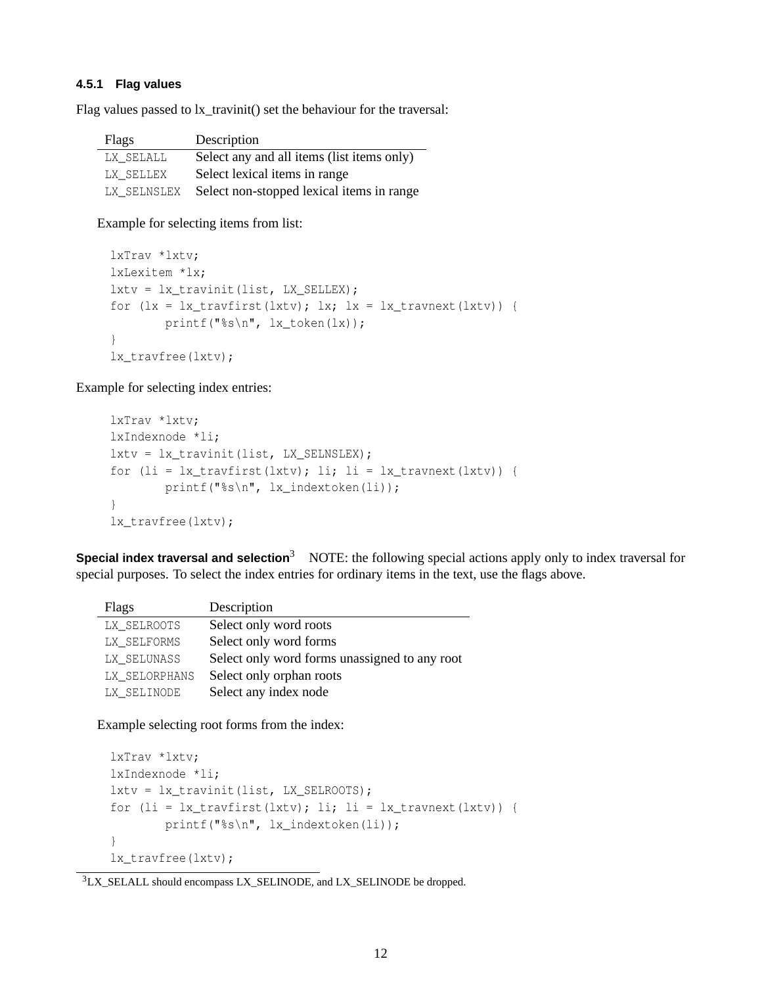#### **4.5.1 Flag values**

Flag values passed to lx\_travinit() set the behaviour for the traversal:

| Flags       | Description                                |
|-------------|--------------------------------------------|
| LX SELALL   | Select any and all items (list items only) |
| LX SELLEX   | Select lexical items in range              |
| LX SELNSLEX | Select non-stopped lexical items in range  |

Example for selecting items from list:

```
lxTrav *lxtv;
lxLexitem *lx;
lxtv = lx_travinit(list, LX_SELLEX);
for (lx = lx_travity; lx; lx = lx_transwer(lxtv)) {
       printf("%s\n", lx_token(lx));
}
lx_travfree(lxtv);
```
Example for selecting index entries:

```
lxTrav *lxtv;
lxIndexnode *li;
lxtv = lx travinit(list, LX SELNSLEX);
for (li = lx_travfirst(lxtv); li; li = lx_travnext(lxtv)) {
       printf("%s\n", lx_indextoken(li));
}
lx_travfree(lxtv);
```
**Special index traversal and selection**<sup>3</sup> NOTE: the following special actions apply only to index traversal for special purposes. To select the index entries for ordinary items in the text, use the flags above.

| Flags         | Description                                   |
|---------------|-----------------------------------------------|
| LX SELROOTS   | Select only word roots                        |
| LX SELFORMS   | Select only word forms                        |
| LX SELUNASS   | Select only word forms unassigned to any root |
| LX SELORPHANS | Select only orphan roots                      |
| LX SELINODE   | Select any index node                         |

Example selecting root forms from the index:

```
lxTrav *lxtv;
lxIndexnode *li;
lxtv = lx_travinit(list, LX_SELROOTS);
for (li = lx_ttravfirst(lxtv); li; li = lx_ttravnext(lxtv)) {
        printf("%s\n", lx_indextoken(li));
}
lx_travfree(lxtv);
```
<sup>3</sup>LX\_SELALL should encompass LX\_SELINODE, and LX\_SELINODE be dropped.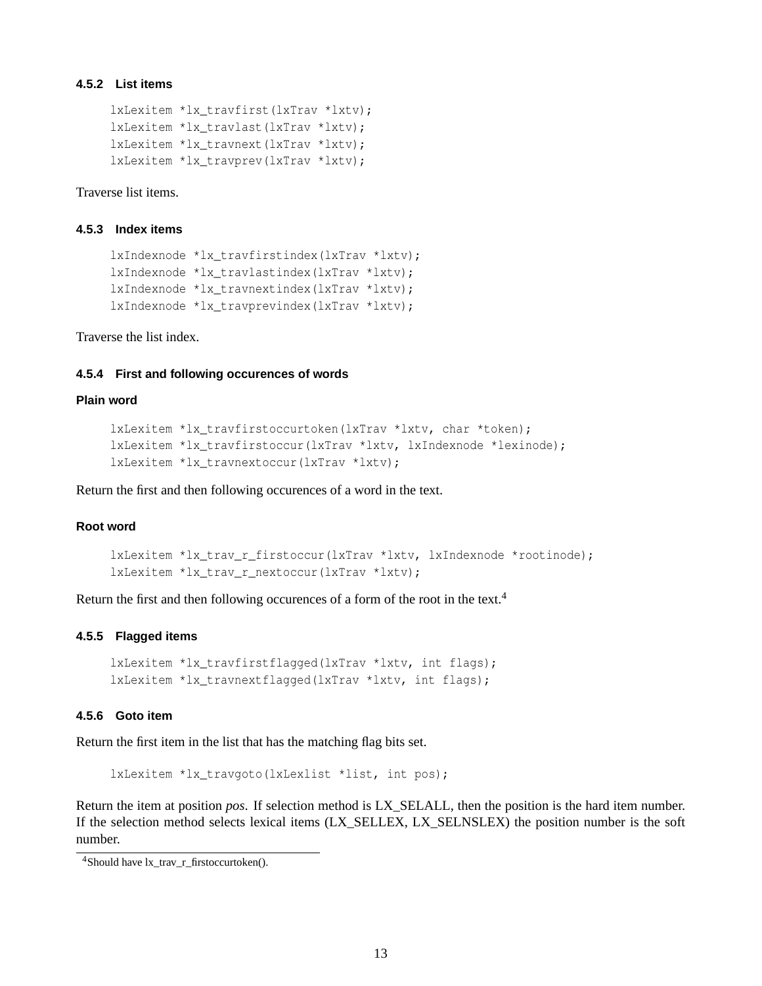#### **4.5.2 List items**

```
lxLexitem *lx_travfirst(lxTrav *lxtv);
lxLexitem *lx_travlast(lxTrav *lxtv);
lxLexitem *lx_travnext(lxTrav *lxtv);
lxLexitem *lx_travprev(lxTrav *lxtv);
```
Traverse list items.

#### **4.5.3 Index items**

```
lxIndexnode *lx travfirstindex(lxTrav *lxtv);
lxIndexnode *lx travlastindex(lxTrav *lxtv);
lxIndexnode *lx_travnextindex(lxTrav *lxtv);
lxIndexnode *lx_travprevindex(lxTrav *lxtv);
```
Traverse the list index.

#### **4.5.4 First and following occurences of words**

#### **Plain word**

```
lxLexitem *lx_travfirstoccurtoken(lxTrav *lxtv, char *token);
lxLexitem *lx_travfirstoccur(lxTrav *lxtv, lxIndexnode *lexinode);
lxLexitem *lx_travnextoccur(lxTrav *lxtv);
```
Return the first and then following occurences of a word in the text.

#### **Root word**

```
lxLexitem *lx_trav_r_firstoccur(lxTrav *lxtv, lxIndexnode *rootinode);
lxLexitem *lx_trav_r_nextoccur(lxTrav *lxtv);
```
Return the first and then following occurences of a form of the root in the text.<sup>4</sup>

#### **4.5.5 Flagged items**

```
lxLexitem *lx_travfirstflagged(lxTrav *lxtv, int flags);
lxLexitem *lx travnextflagged(lxTrav *lxtv, int flags);
```
#### **4.5.6 Goto item**

Return the first item in the list that has the matching flag bits set.

lxLexitem \*lx\_travgoto(lxLexlist \*list, int pos);

Return the item at position *pos*. If selection method is LX\_SELALL, then the position is the hard item number. If the selection method selects lexical items (LX\_SELLEX, LX\_SELNSLEX) the position number is the soft number.

<sup>4</sup>Should have lx\_trav\_r\_firstoccurtoken().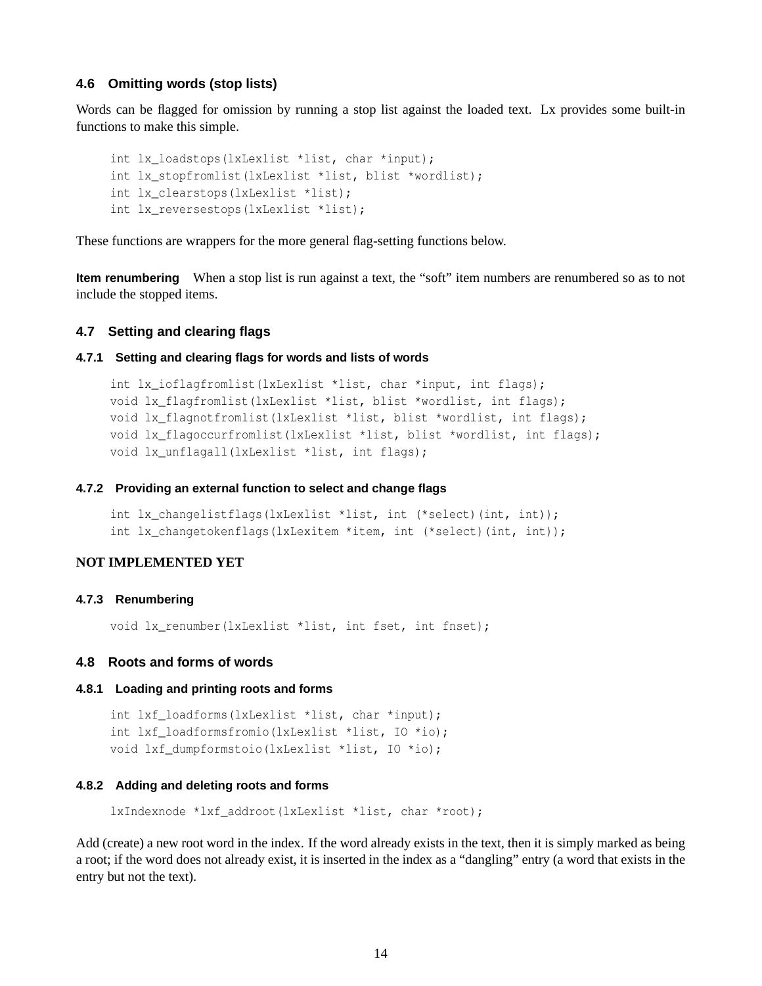#### **4.6 Omitting words (stop lists)**

Words can be flagged for omission by running a stop list against the loaded text. Lx provides some built-in functions to make this simple.

```
int lx_loadstops(lxLexlist *list, char *input);
int lx_stopfromlist(lxLexlist *list, blist *wordlist);
int lx_clearstops(lxLexlist *list);
int lx_reversestops(lxLexlist *list);
```
These functions are wrappers for the more general flag-setting functions below.

**Item renumbering** When a stop list is run against a text, the "soft" item numbers are renumbered so as to not include the stopped items.

#### **4.7 Setting and clearing flags**

#### **4.7.1 Setting and clearing flags for words and lists of words**

```
int lx_ioflagfromlist(lxLexlist *list, char *input, int flags);
void lx_flagfromlist(lxLexlist *list, blist *wordlist, int flags);
void lx_flagnotfromlist(lxLexlist *list, blist *wordlist, int flags);
void lx_flagoccurfromlist(lxLexlist *list, blist *wordlist, int flags);
void lx_unflagall(lxLexlist *list, int flags);
```
#### **4.7.2 Providing an external function to select and change flags**

```
int lx_changelistflags(lxLexlist *list, int (*select)(int, int));
int lx_changetokenflags(lxLexitem *item, int (*select)(int, int));
```
#### **NOT IMPLEMENTED YET**

#### **4.7.3 Renumbering**

void lx\_renumber(lxLexlist \*list, int fset, int fnset);

#### **4.8 Roots and forms of words**

#### **4.8.1 Loading and printing roots and forms**

```
int lxf loadforms(lxLexlist *list, char *input);
int lxf_loadformsfromio(lxLexlist *list, IO *io);
void lxf dumpformstoio(lxLexlist *list, IO *io);
```
#### **4.8.2 Adding and deleting roots and forms**

lxIndexnode \*lxf addroot(lxLexlist \*list, char \*root);

Add (create) a new root word in the index. If the word already exists in the text, then it is simply marked as being a root; if the word does not already exist, it is inserted in the index as a "dangling" entry (a word that exists in the entry but not the text).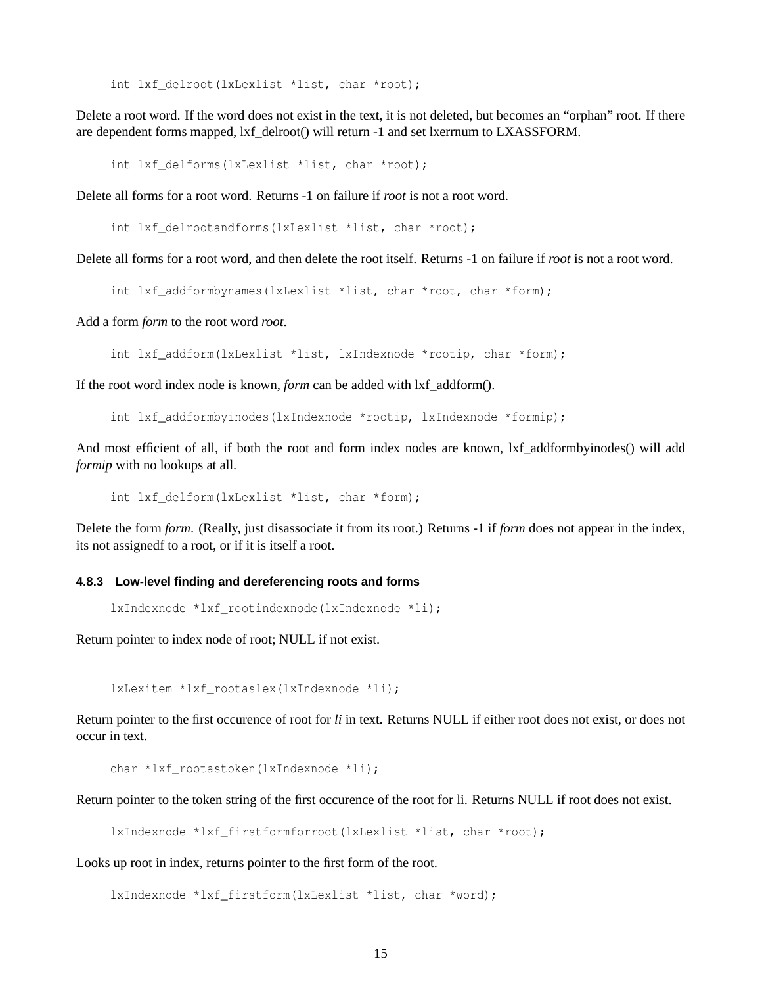int lxf\_delroot(lxLexlist \*list, char \*root);

Delete a root word. If the word does not exist in the text, it is not deleted, but becomes an "orphan" root. If there are dependent forms mapped, lxf\_delroot() will return -1 and set lxerrnum to LXASSFORM.

```
int lxf_delforms(lxLexlist *list, char *root);
```
Delete all forms for a root word. Returns -1 on failure if *root* is not a root word.

int lxf delrootandforms(lxLexlist \*list, char \*root);

Delete all forms for a root word, and then delete the root itself. Returns -1 on failure if *root* is not a root word.

int lxf\_addformbynames(lxLexlist \*list, char \*root, char \*form);

Add a form *form* to the root word *root*.

int lxf\_addform(lxLexlist \*list, lxIndexnode \*rootip, char \*form);

If the root word index node is known, *form* can be added with lxf\_addform().

int lxf\_addformbyinodes(lxIndexnode \*rootip, lxIndexnode \*formip);

And most efficient of all, if both the root and form index nodes are known, lxf addformbyinodes() will add *formip* with no lookups at all.

int lxf\_delform(lxLexlist \*list, char \*form);

Delete the form *form*. (Really, just disassociate it from its root.) Returns -1 if *form* does not appear in the index, its not assignedf to a root, or if it is itself a root.

#### **4.8.3 Low-level finding and dereferencing roots and forms**

lxIndexnode \*lxf\_rootindexnode(lxIndexnode \*li);

Return pointer to index node of root; NULL if not exist.

lxLexitem \*lxf rootaslex(lxIndexnode \*li);

Return pointer to the first occurence of root for *li* in text. Returns NULL if either root does not exist, or does not occur in text.

char \*lxf rootastoken(lxIndexnode \*li);

Return pointer to the token string of the first occurence of the root for li. Returns NULL if root does not exist.

```
lxIndexnode *lxf_firstformforroot(lxLexlist *list, char *root);
```
Looks up root in index, returns pointer to the first form of the root.

```
lxIndexnode *lxf_firstform(lxLexlist *list, char *word);
```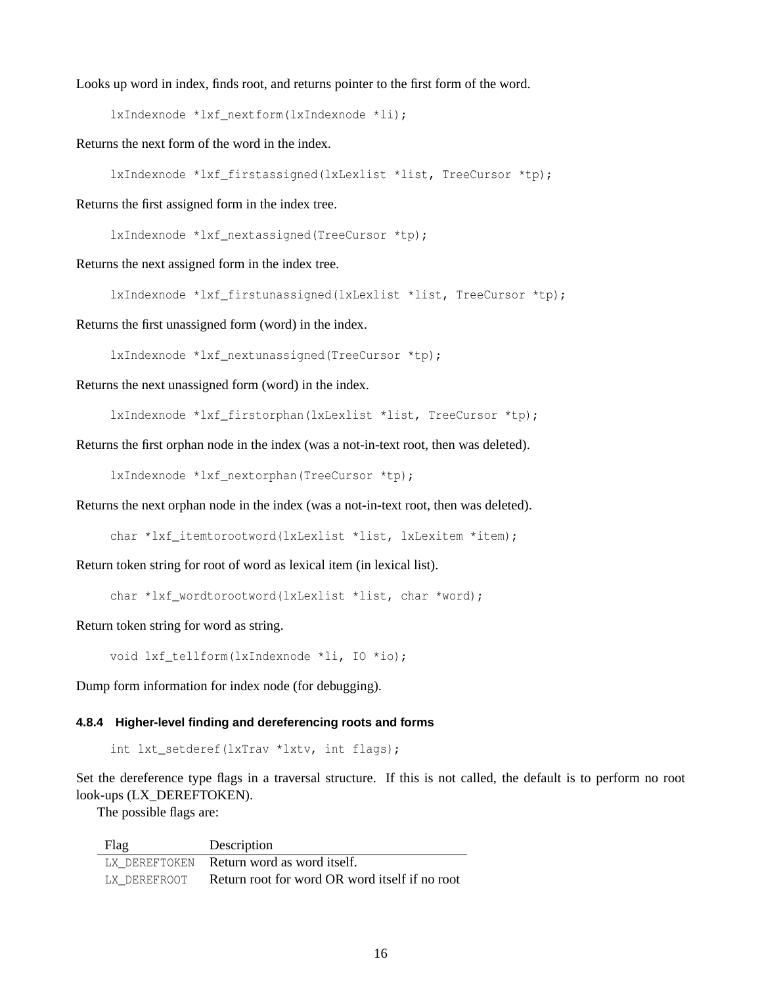Looks up word in index, finds root, and returns pointer to the first form of the word.

lxIndexnode \*lxf nextform(lxIndexnode \*li);

Returns the next form of the word in the index.

lxIndexnode \*lxf\_firstassigned(lxLexlist \*list, TreeCursor \*tp);

Returns the first assigned form in the index tree.

lxIndexnode \*lxf\_nextassigned(TreeCursor \*tp);

Returns the next assigned form in the index tree.

lxIndexnode \*lxf\_firstunassigned(lxLexlist \*list, TreeCursor \*tp);

Returns the first unassigned form (word) in the index.

lxIndexnode \*lxf\_nextunassigned(TreeCursor \*tp);

Returns the next unassigned form (word) in the index.

lxIndexnode \*lxf\_firstorphan(lxLexlist \*list, TreeCursor \*tp);

Returns the first orphan node in the index (was a not-in-text root, then was deleted).

lxIndexnode \*lxf\_nextorphan(TreeCursor \*tp);

Returns the next orphan node in the index (was a not-in-text root, then was deleted).

char \*lxf itemtorootword(lxLexlist \*list, lxLexitem \*item);

Return token string for root of word as lexical item (in lexical list).

char \*lxf\_wordtorootword(lxLexlist \*list, char \*word);

Return token string for word as string.

void lxf\_tellform(lxIndexnode \*li, IO \*io);

Dump form information for index node (for debugging).

#### **4.8.4 Higher-level finding and dereferencing roots and forms**

int lxt\_setderef(lxTrav \*lxtv, int flags);

Set the dereference type flags in a traversal structure. If this is not called, the default is to perform no root look-ups (LX\_DEREFTOKEN).

The possible flags are:

Flag Description LX\_DEREFTOKEN Return word as word itself. LX DEREFROOT Return root for word OR word itself if no root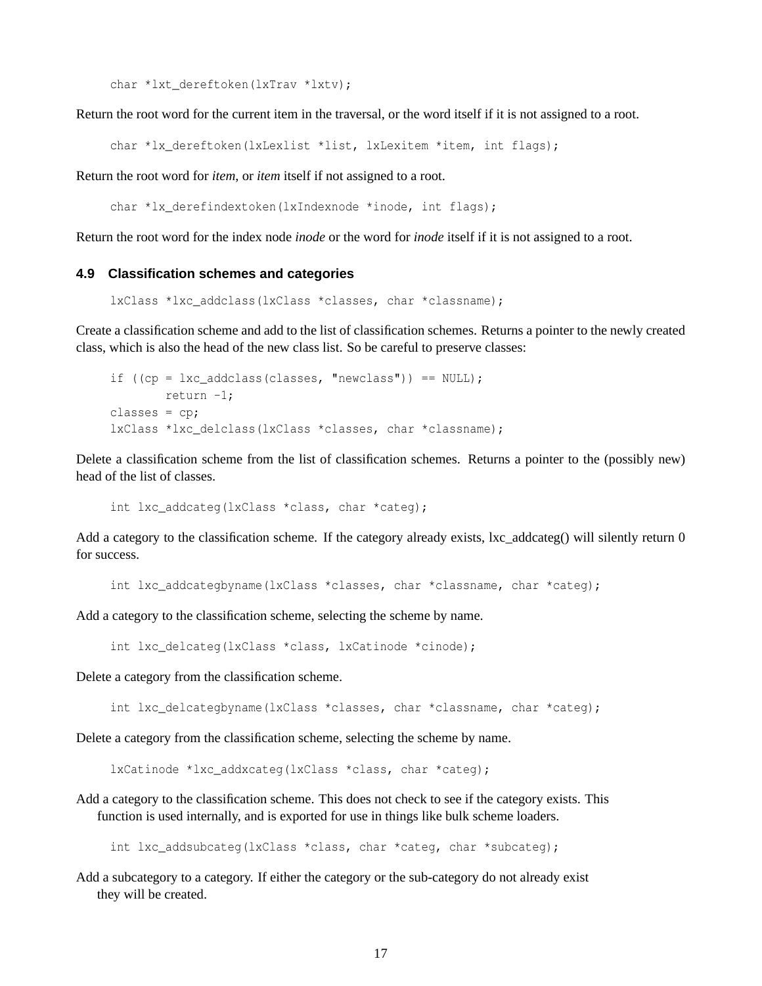char \*lxt\_dereftoken(lxTrav \*lxtv);

Return the root word for the current item in the traversal, or the word itself if it is not assigned to a root.

char \*lx\_dereftoken(lxLexlist \*list, lxLexitem \*item, int flags);

Return the root word for *item*, or *item* itself if not assigned to a root.

char \*lx\_derefindextoken(lxIndexnode \*inode, int flags);

Return the root word for the index node *inode* or the word for *inode* itself if it is not assigned to a root.

#### **4.9 Classification schemes and categories**

```
lxClass *lxc_addclass(lxClass *classes, char *classname);
```
Create a classification scheme and add to the list of classification schemes. Returns a pointer to the newly created class, which is also the head of the new class list. So be careful to preserve classes:

```
if ((cp = lxc\_addclass(classes, "newclass")) == NULL);return -1;
classes = cp;
lxClass *lxc_delclass(lxClass *classes, char *classname);
```
Delete a classification scheme from the list of classification schemes. Returns a pointer to the (possibly new) head of the list of classes.

int lxc\_addcateg(lxClass \*class, char \*categ);

Add a category to the classification scheme. If the category already exists, lxc\_addcateg() will silently return 0 for success.

int lxc\_addcategbyname(lxClass \*classes, char \*classname, char \*categ);

Add a category to the classification scheme, selecting the scheme by name.

int lxc delcateg(lxClass \*class, lxCatinode \*cinode);

Delete a category from the classification scheme.

int lxc\_delcategbyname(lxClass \*classes, char \*classname, char \*categ);

Delete a category from the classification scheme, selecting the scheme by name.

lxCatinode \*lxc addxcateg(lxClass \*class, char \*categ);

Add a category to the classification scheme. This does not check to see if the category exists. This function is used internally, and is exported for use in things like bulk scheme loaders.

int lxc\_addsubcateg(lxClass \*class, char \*categ, char \*subcateg);

Add a subcategory to a category. If either the category or the sub-category do not already exist they will be created.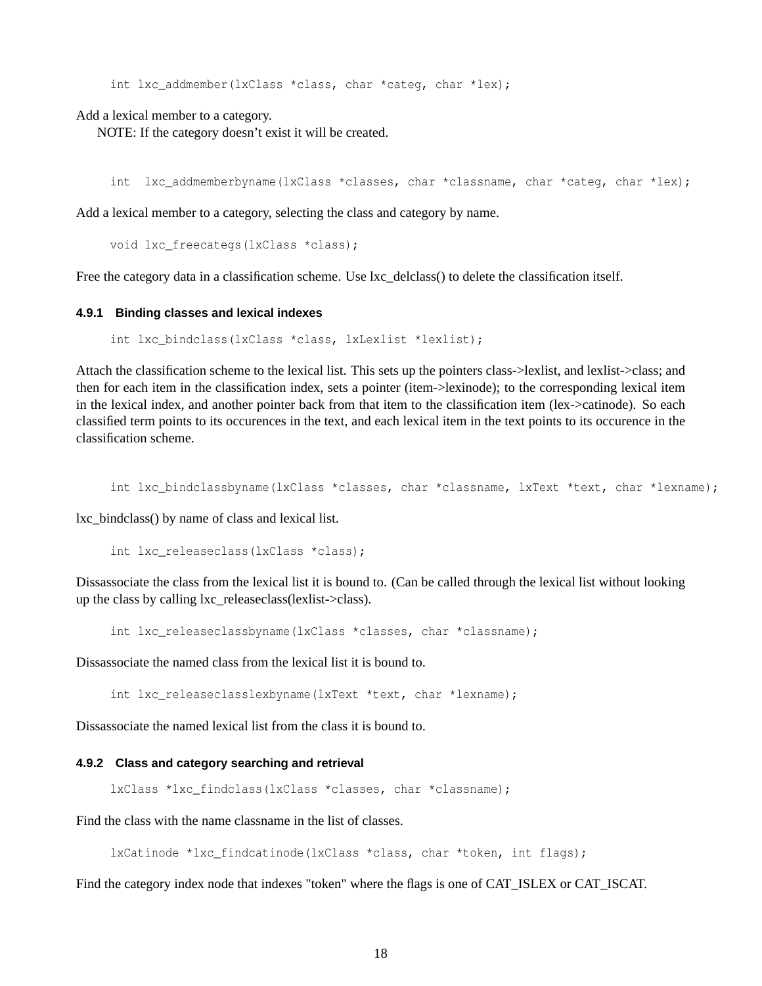int lxc\_addmember(lxClass \*class, char \*categ, char \*lex);

Add a lexical member to a category.

NOTE: If the category doesn't exist it will be created.

int lxc\_addmemberbyname(lxClass \*classes, char \*classname, char \*categ, char \*lex);

Add a lexical member to a category, selecting the class and category by name.

void lxc\_freecategs(lxClass \*class);

Free the category data in a classification scheme. Use lxc\_delclass() to delete the classification itself.

#### **4.9.1 Binding classes and lexical indexes**

int lxc\_bindclass(lxClass \*class, lxLexlist \*lexlist);

Attach the classification scheme to the lexical list. This sets up the pointers class->lexlist, and lexlist->class; and then for each item in the classification index, sets a pointer (item->lexinode); to the corresponding lexical item in the lexical index, and another pointer back from that item to the classification item (lex->catinode). So each classified term points to its occurences in the text, and each lexical item in the text points to its occurence in the classification scheme.

int lxc\_bindclassbyname(lxClass \*classes, char \*classname, lxText \*text, char \*lexname);

lxc\_bindclass() by name of class and lexical list.

int lxc releaseclass(lxClass \*class);

Dissassociate the class from the lexical list it is bound to. (Can be called through the lexical list without looking up the class by calling lxc\_releaseclass(lexlist->class).

int lxc\_releaseclassbyname(lxClass \*classes, char \*classname);

Dissassociate the named class from the lexical list it is bound to.

int lxc\_releaseclasslexbyname(lxText \*text, char \*lexname);

Dissassociate the named lexical list from the class it is bound to.

#### **4.9.2 Class and category searching and retrieval**

lxClass \*lxc\_findclass(lxClass \*classes, char \*classname);

Find the class with the name classname in the list of classes.

lxCatinode \*lxc\_findcatinode(lxClass \*class, char \*token, int flags);

Find the category index node that indexes "token" where the flags is one of CAT\_ISLEX or CAT\_ISCAT.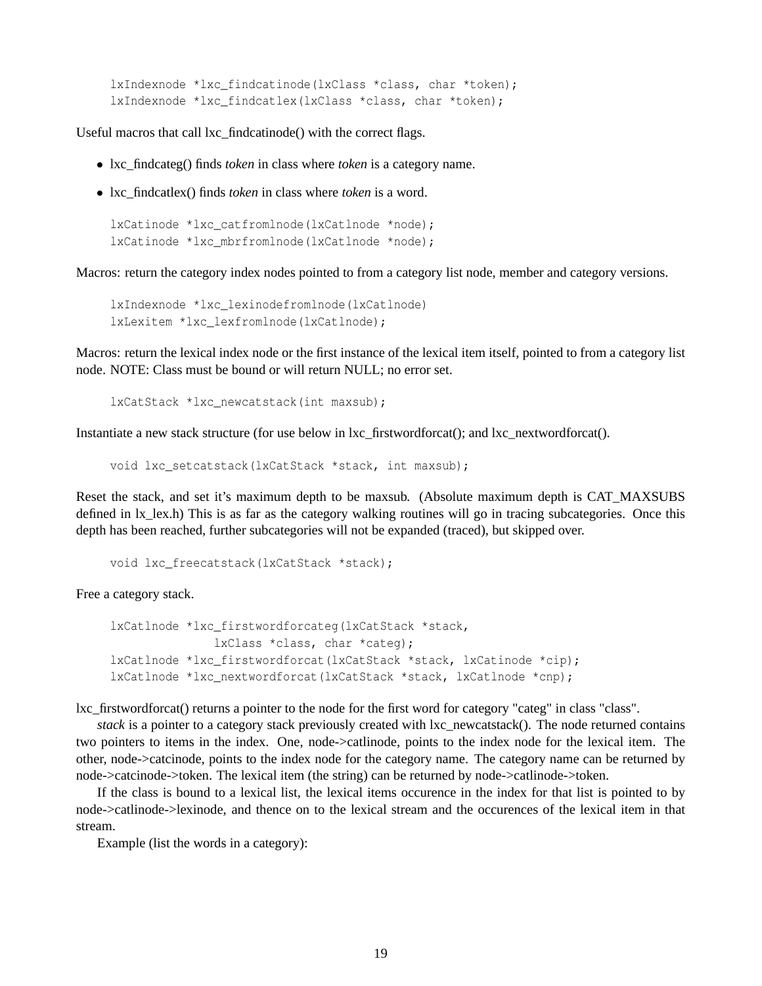```
lxIndexnode *lxc_findcatinode(lxClass *class, char *token);
lxIndexnode *lxc_findcatlex(lxClass *class, char *token);
```
Useful macros that call lxc\_findcatinode() with the correct flags.

- lxc\_findcateg() finds *token* in class where *token* is a category name.
- lxc\_findcatlex() finds *token* in class where *token* is a word.

```
lxCatinode *lxc_catfromlnode(lxCatlnode *node);
lxCatinode *lxc_mbrfromlnode(lxCatlnode *node);
```
Macros: return the category index nodes pointed to from a category list node, member and category versions.

lxIndexnode \*lxc\_lexinodefromlnode(lxCatlnode) lxLexitem \*lxc lexfromlnode(lxCatlnode);

Macros: return the lexical index node or the first instance of the lexical item itself, pointed to from a category list node. NOTE: Class must be bound or will return NULL; no error set.

lxCatStack \*lxc\_newcatstack(int maxsub);

Instantiate a new stack structure (for use below in lxc\_firstwordforcat(); and lxc\_nextwordforcat().

void lxc\_setcatstack(lxCatStack \*stack, int maxsub);

Reset the stack, and set it's maximum depth to be maxsub. (Absolute maximum depth is CAT\_MAXSUBS defined in lx\_lex.h) This is as far as the category walking routines will go in tracing subcategories. Once this depth has been reached, further subcategories will not be expanded (traced), but skipped over.

void lxc freecatstack(lxCatStack \*stack);

Free a category stack.

```
lxCatlnode *lxc_firstwordforcateg(lxCatStack *stack,
               lxClass *class, char *categ);
lxCatlnode *lxc_firstwordforcat(lxCatStack *stack, lxCatinode *cip);
lxCatlnode *lxc_nextwordforcat(lxCatStack *stack, lxCatlnode *cnp);
```
lxc\_firstwordforcat() returns a pointer to the node for the first word for category "categ" in class "class".

*stack* is a pointer to a category stack previously created with lxc\_newcatstack(). The node returned contains two pointers to items in the index. One, node->catlinode, points to the index node for the lexical item. The other, node->catcinode, points to the index node for the category name. The category name can be returned by node->catcinode->token. The lexical item (the string) can be returned by node->catlinode->token.

If the class is bound to a lexical list, the lexical items occurence in the index for that list is pointed to by node->catlinode->lexinode, and thence on to the lexical stream and the occurences of the lexical item in that stream.

Example (list the words in a category):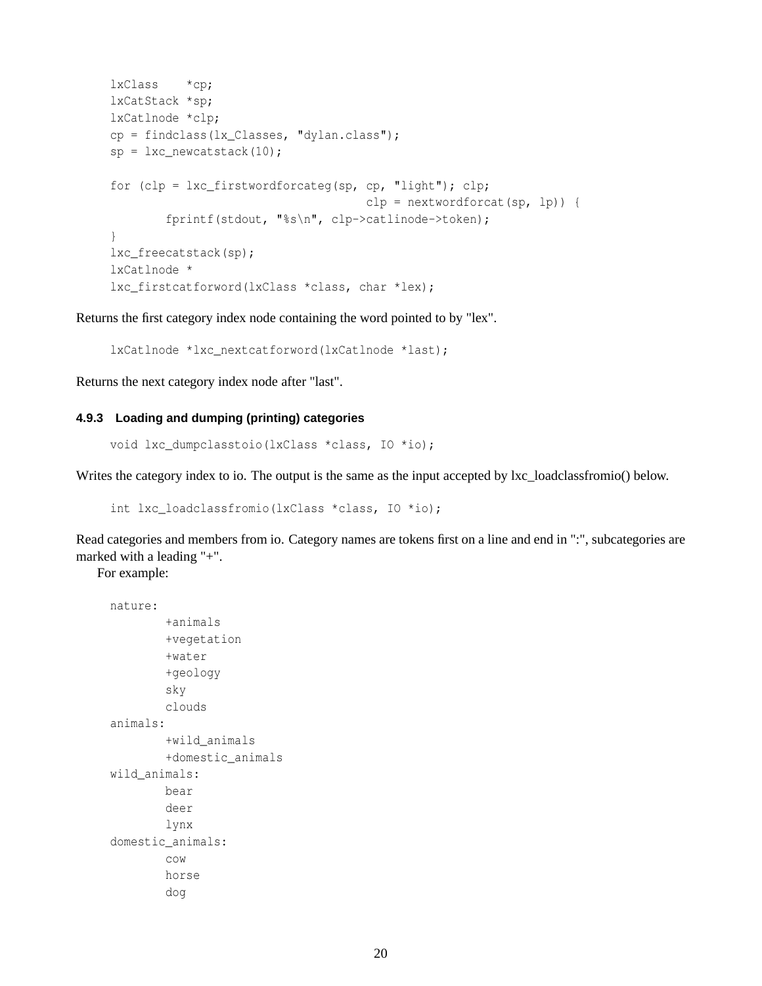```
lxClass *cp;
lxCatStack *sp;
lxCatlnode *clp;
cp = findclass(lx_Classes, "dylan.class");
sp = \text{lxc} newcatstack(10);
for (clp = lxc_firstwordforcateg(sp, cp, "light"); clp;
                                      clp = nextwordforcat(sp, lp)) {
        fprintf(stdout, "%s\n", clp->catlinode->token);
}
lxc_freecatstack(sp);
lxCatlnode *
lxc_firstcatforword(lxClass *class, char *lex);
```
Returns the first category index node containing the word pointed to by "lex".

lxCatlnode \*lxc\_nextcatforword(lxCatlnode \*last);

Returns the next category index node after "last".

#### **4.9.3 Loading and dumping (printing) categories**

```
void lxc_dumpclasstoio(lxClass *class, IO *io);
```
Writes the category index to io. The output is the same as the input accepted by lxc\_loadclassfromio() below.

```
int lxc_loadclassfromio(lxClass *class, IO *io);
```
Read categories and members from io. Category names are tokens first on a line and end in ":", subcategories are marked with a leading "+".

For example:

```
nature:
        +animals
        +vegetation
        +water
        +geology
        sky
        clouds
animals:
        +wild_animals
        +domestic_animals
wild_animals:
        bear
        deer
        lynx
domestic_animals:
        cow
        horse
        dog
```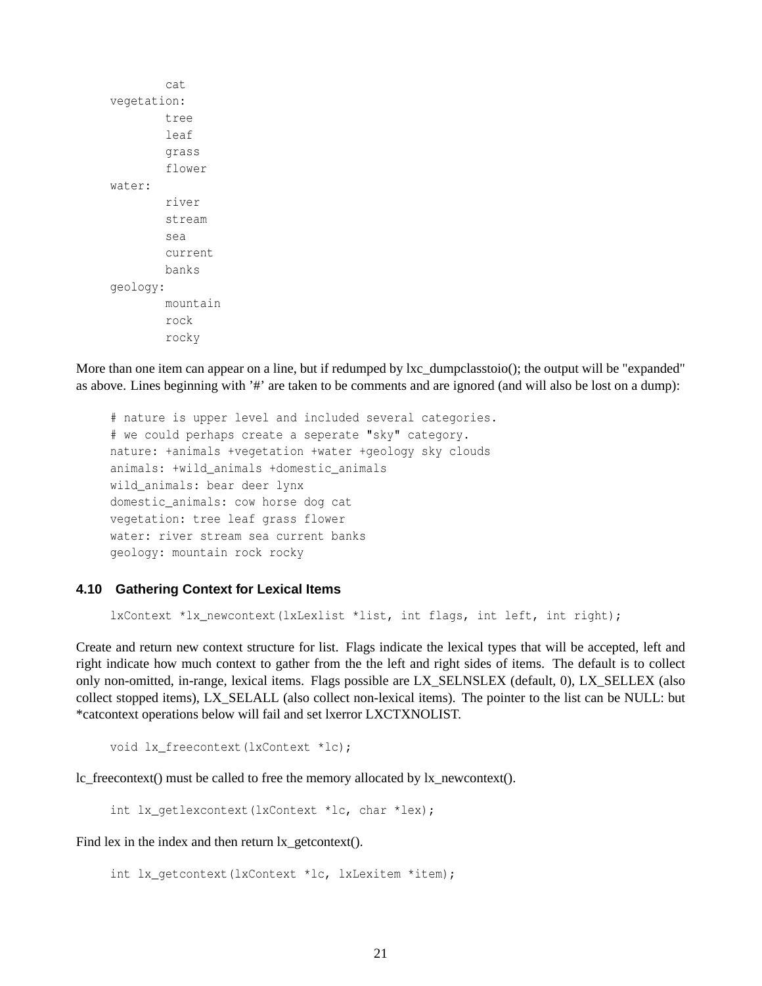```
cat
vegetation:
        tree
        leaf
        grass
        flower
water:
        river
        stream
        sea
        current
        banks
geology:
        mountain
        rock
        rocky
```
More than one item can appear on a line, but if redumped by lxc\_dumpclasstoio(); the output will be "expanded" as above. Lines beginning with '#' are taken to be comments and are ignored (and will also be lost on a dump):

# nature is upper level and included several categories. # we could perhaps create a seperate "sky" category. nature: +animals +vegetation +water +geology sky clouds animals: +wild\_animals +domestic\_animals wild\_animals: bear deer lynx domestic\_animals: cow horse dog cat vegetation: tree leaf grass flower water: river stream sea current banks geology: mountain rock rocky

### **4.10 Gathering Context for Lexical Items**

```
lxContext *lx_newcontext(lxLexlist *list, int flags, int left, int right);
```
Create and return new context structure for list. Flags indicate the lexical types that will be accepted, left and right indicate how much context to gather from the the left and right sides of items. The default is to collect only non-omitted, in-range, lexical items. Flags possible are LX\_SELNSLEX (default, 0), LX\_SELLEX (also collect stopped items), LX\_SELALL (also collect non-lexical items). The pointer to the list can be NULL: but \*catcontext operations below will fail and set lxerror LXCTXNOLIST.

void lx\_freecontext(lxContext \*lc);

lc\_freecontext() must be called to free the memory allocated by lx\_newcontext().

int lx\_getlexcontext(lxContext \*lc, char \*lex);

Find lex in the index and then return  $lx\_getcontext()$ .

int lx\_getcontext(lxContext \*lc, lxLexitem \*item);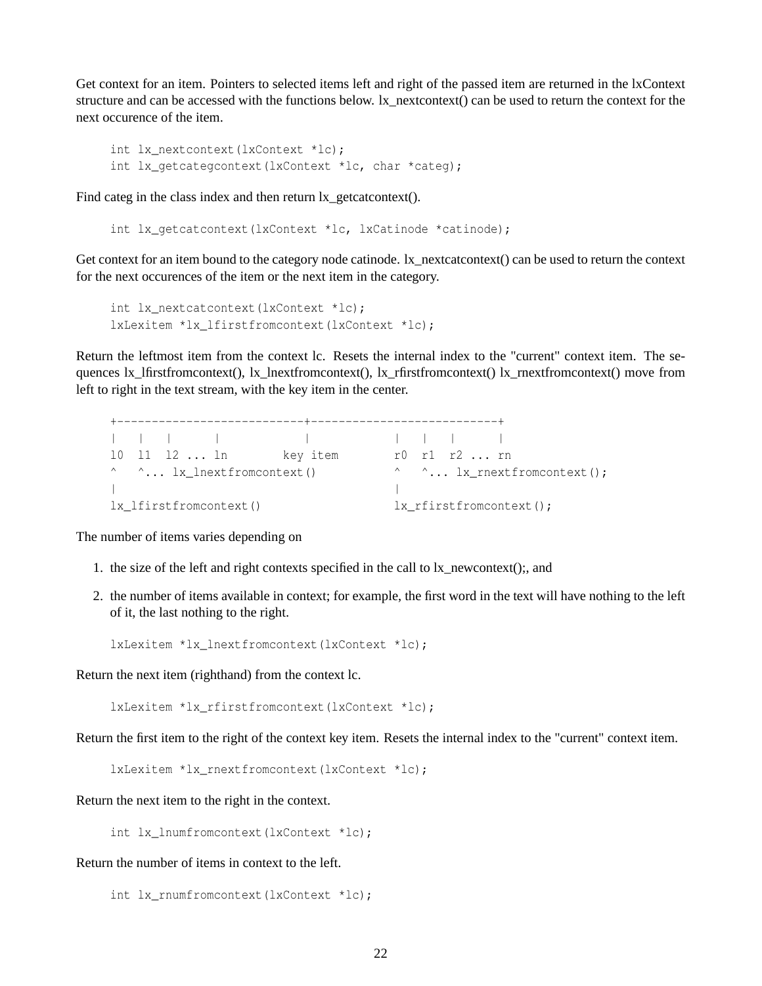Get context for an item. Pointers to selected items left and right of the passed item are returned in the lxContext structure and can be accessed with the functions below. lx\_nextcontext() can be used to return the context for the next occurence of the item.

```
int lx nextcontext(lxContext *lc);
int lx getcategcontext(lxContext *lc, char *categ);
```
Find categ in the class index and then return  $lx\_g$ etcatcontext().

int lx\_getcatcontext(lxContext \*lc, lxCatinode \*catinode);

Get context for an item bound to the category node catinode. lx\_nextcatcontext() can be used to return the context for the next occurences of the item or the next item in the category.

```
int lx_nextcatcontext(lxContext *lc);
lxLexitem *lx lfirstfromcontext(lxContext *lc);
```
Return the leftmost item from the context lc. Resets the internal index to the "current" context item. The sequences lx lfirstfromcontext(), lx lnextfromcontext(), lx rfirstfromcontext() lx rnextfromcontext() move from left to right in the text stream, with the key item in the center.

|                        |  |              |                                      |          | $1 - 1 - 1 - 1$ |  |                                                   |
|------------------------|--|--------------|--------------------------------------|----------|-----------------|--|---------------------------------------------------|
|                        |  | 10 11 12  ln |                                      | key item | r0 r1 r2  rn    |  |                                                   |
|                        |  |              | <sup>^</sup> ^ lx lnextfromcontext() |          |                 |  | $\land \quad \land \ldots$ lx rnextfromcontext(); |
|                        |  |              |                                      |          |                 |  |                                                   |
| lx lfirstfromcontext() |  |              |                                      |          |                 |  | $lx_f$ firstfromcontext();                        |

The number of items varies depending on

- 1. the size of the left and right contexts specified in the call to lx\_newcontext();, and
- 2. the number of items available in context; for example, the first word in the text will have nothing to the left of it, the last nothing to the right.

lxLexitem \*lx\_lnextfromcontext(lxContext \*lc);

Return the next item (righthand) from the context lc.

lxLexitem \*lx\_rfirstfromcontext(lxContext \*lc);

Return the first item to the right of the context key item. Resets the internal index to the "current" context item.

lxLexitem \*lx\_rnextfromcontext(lxContext \*lc);

Return the next item to the right in the context.

```
int lx_lnumfromcontext(lxContext *lc);
```
Return the number of items in context to the left.

```
int lx_rnumfromcontext(lxContext *lc);
```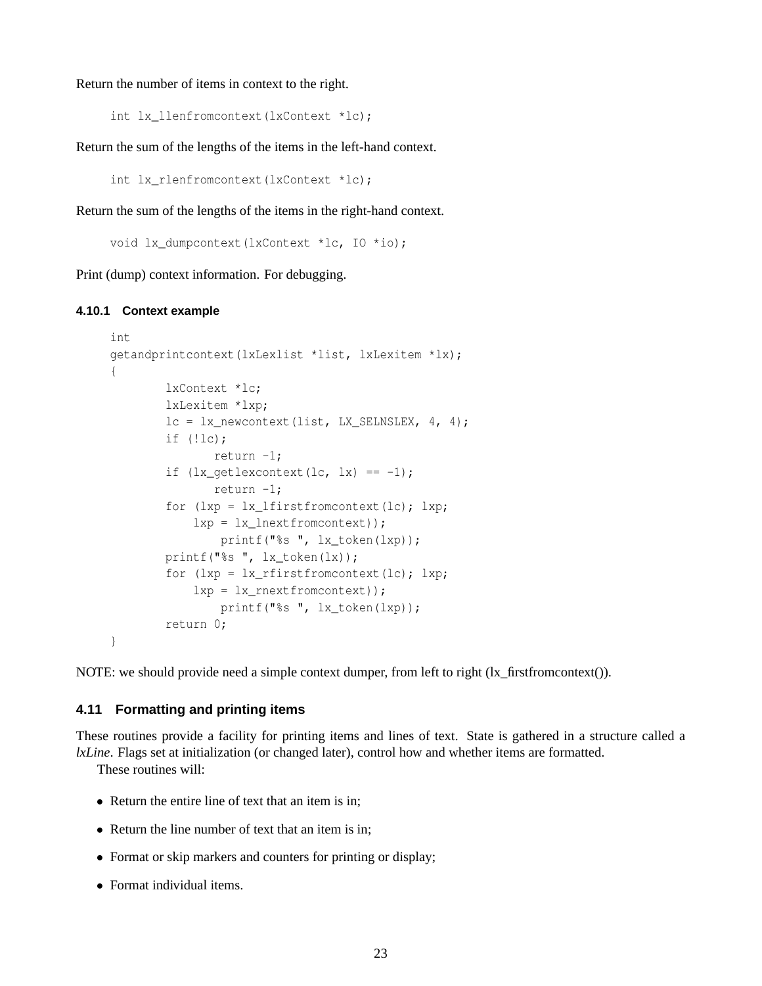Return the number of items in context to the right.

int lx\_llenfromcontext(lxContext \*lc);

Return the sum of the lengths of the items in the left-hand context.

```
int lx_rlenfromcontext(lxContext *lc);
```
Return the sum of the lengths of the items in the right-hand context.

```
void lx_dumpcontext(lxContext *lc, IO *io);
```
Print (dump) context information. For debugging.

#### **4.10.1 Context example**

```
int
getandprintcontext(lxLexlist *list, lxLexitem *lx);
{
        lxContext *lc;
        lxLexitem *lxp;
        lc = lx_newcontext(list, LX\_SEINSLEX, 4, 4);if (!lc);
               return -1;
        if (lx_qetlexcontext(lc, lx) == -1);return -1;
        for (lxp = lx_lfirst fromcontext(lc); lxp;lxp = lx_lnextfromcontext));
                printf("%s ", lx_token(lxp));
        printf("%s ", lx_token(lx));
        for (lxp = lx_rfirstfromcontext(lc); lxp;lxp = lx rnextfromcontext));
                printf("%s ", lx_token(lxp));
        return 0;
}
```
NOTE: we should provide need a simple context dumper, from left to right (1x\_firstfromcontext()).

#### **4.11 Formatting and printing items**

These routines provide a facility for printing items and lines of text. State is gathered in a structure called a *lxLine*. Flags set at initialization (or changed later), control how and whether items are formatted.

These routines will:

- Return the entire line of text that an item is in;
- Return the line number of text that an item is in;
- Format or skip markers and counters for printing or display;
- Format individual items.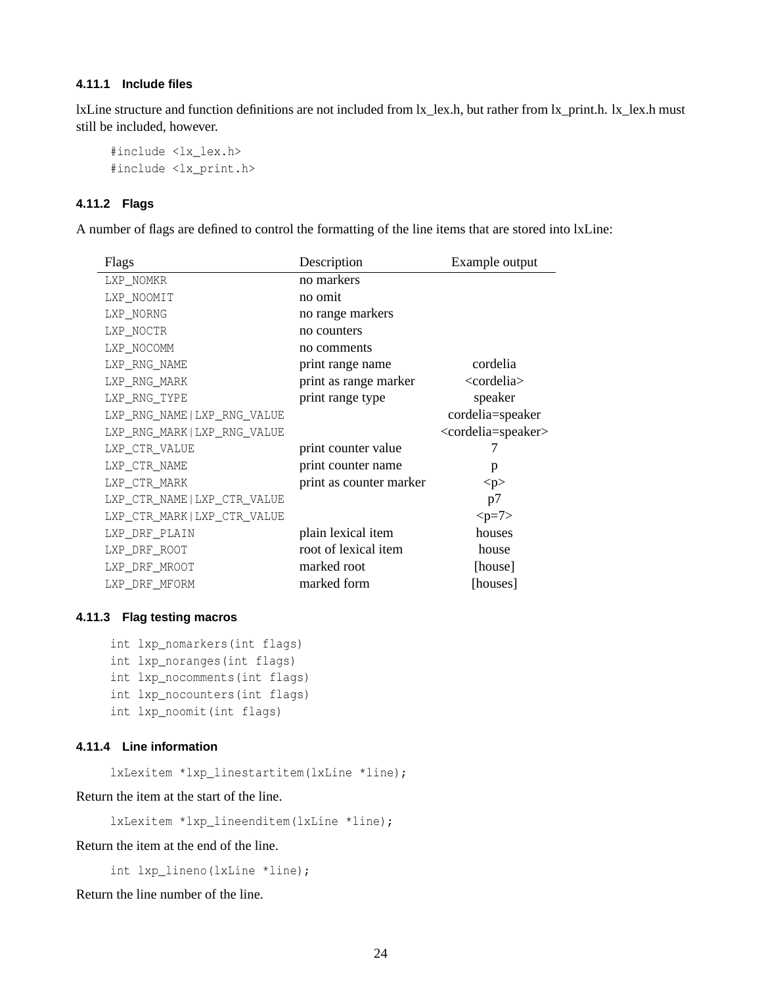#### **4.11.1 Include files**

lxLine structure and function definitions are not included from lx\_lex.h, but rather from lx\_print.h. lx\_lex.h must still be included, however.

```
#include <lx_lex.h>
#include <lx_print.h>
```
#### **4.11.2 Flags**

A number of flags are defined to control the formatting of the line items that are stored into lxLine:

| Flags                        | Description             | Example output                        |
|------------------------------|-------------------------|---------------------------------------|
| LXP_NOMKR                    | no markers              |                                       |
| LXP_NOOMIT                   | no omit                 |                                       |
| LXP_NORNG                    | no range markers        |                                       |
| LXP_NOCTR                    | no counters             |                                       |
| LXP_NOCOMM                   | no comments             |                                       |
| LXP_RNG_NAME                 | print range name        | cordelia                              |
| LXP_RNG_MARK                 | print as range marker   | <cordelia></cordelia>                 |
| LXP_RNG_TYPE                 | print range type        | speaker                               |
| LXP_RNG_NAME   LXP_RNG_VALUE |                         | cordelia=speaker                      |
| LXP_RNG_MARK LXP_RNG_VALUE   |                         | <cordelia=speaker></cordelia=speaker> |
| LXP_CTR_VALUE                | print counter value     |                                       |
| LXP_CTR_NAME                 | print counter name      | p                                     |
| LXP_CTR_MARK                 | print as counter marker | < p >                                 |
| LXP_CTR_NAME   LXP_CTR_VALUE |                         | p7                                    |
| LXP_CTR_MARK LXP_CTR_VALUE   |                         | $-p=7$                                |
| LXP_DRF_PLAIN                | plain lexical item      | houses                                |
| LXP_DRF_ROOT                 | root of lexical item    | house                                 |
| LXP_DRF_MROOT                | marked root             | [house]                               |
| LXP_DRF_MFORM                | marked form             | [houses]                              |

#### **4.11.3 Flag testing macros**

```
int lxp_nomarkers(int flags)
int lxp_noranges(int flags)
int lxp_nocomments(int flags)
int lxp_nocounters(int flags)
int lxp_noomit(int flags)
```
#### **4.11.4 Line information**

lxLexitem \*lxp\_linestartitem(lxLine \*line);

Return the item at the start of the line.

```
lxLexitem *lxp_lineenditem(lxLine *line);
```
Return the item at the end of the line.

```
int lxp_lineno(lxLine *line);
```
Return the line number of the line.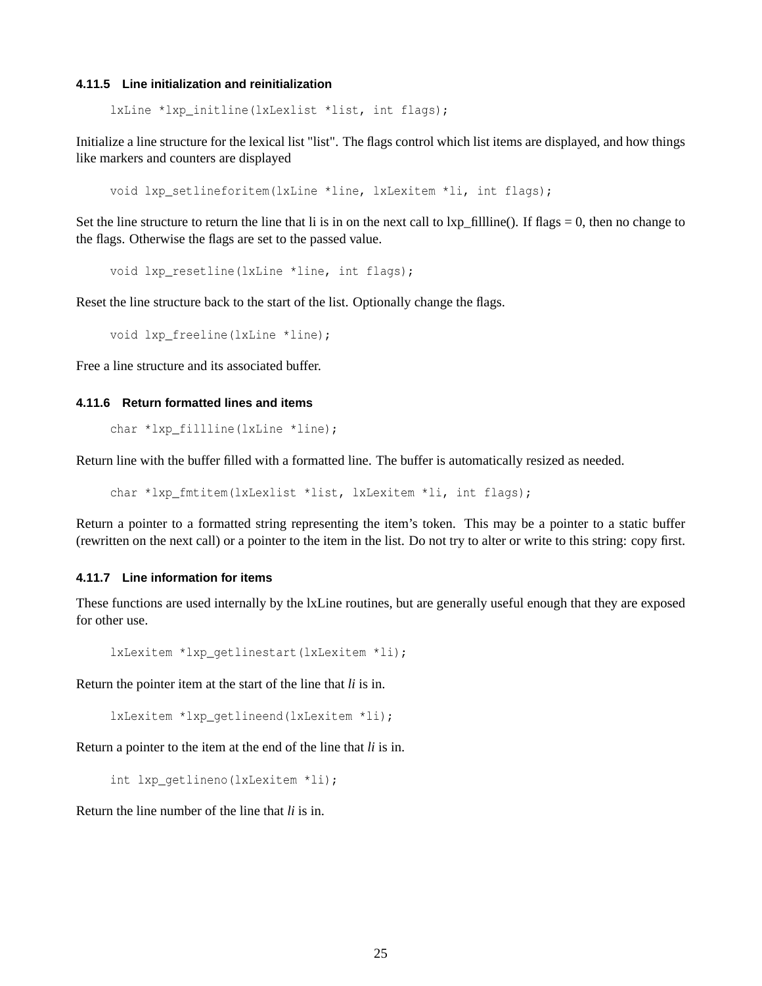#### **4.11.5 Line initialization and reinitialization**

lxLine \*lxp\_initline(lxLexlist \*list, int flags);

Initialize a line structure for the lexical list "list". The flags control which list items are displayed, and how things like markers and counters are displayed

void lxp\_setlineforitem(lxLine \*line, lxLexitem \*li, int flags);

Set the line structure to return the line that li is in on the next call to lxp\_fillline(). If flags  $= 0$ , then no change to the flags. Otherwise the flags are set to the passed value.

void lxp\_resetline(lxLine \*line, int flags);

Reset the line structure back to the start of the list. Optionally change the flags.

void lxp\_freeline(lxLine \*line);

Free a line structure and its associated buffer.

#### **4.11.6 Return formatted lines and items**

```
char *lxp_fillline(lxLine *line);
```
Return line with the buffer filled with a formatted line. The buffer is automatically resized as needed.

char \*lxp\_fmtitem(lxLexlist \*list, lxLexitem \*li, int flags);

Return a pointer to a formatted string representing the item's token. This may be a pointer to a static buffer (rewritten on the next call) or a pointer to the item in the list. Do not try to alter or write to this string: copy first.

#### **4.11.7 Line information for items**

These functions are used internally by the lxLine routines, but are generally useful enough that they are exposed for other use.

lxLexitem \*lxp qetlinestart(lxLexitem \*li);

Return the pointer item at the start of the line that *li* is in.

lxLexitem \*lxp qetlineend(lxLexitem \*li);

Return a pointer to the item at the end of the line that *li* is in.

```
int lxp_getlineno(lxLexitem *li);
```
Return the line number of the line that *li* is in.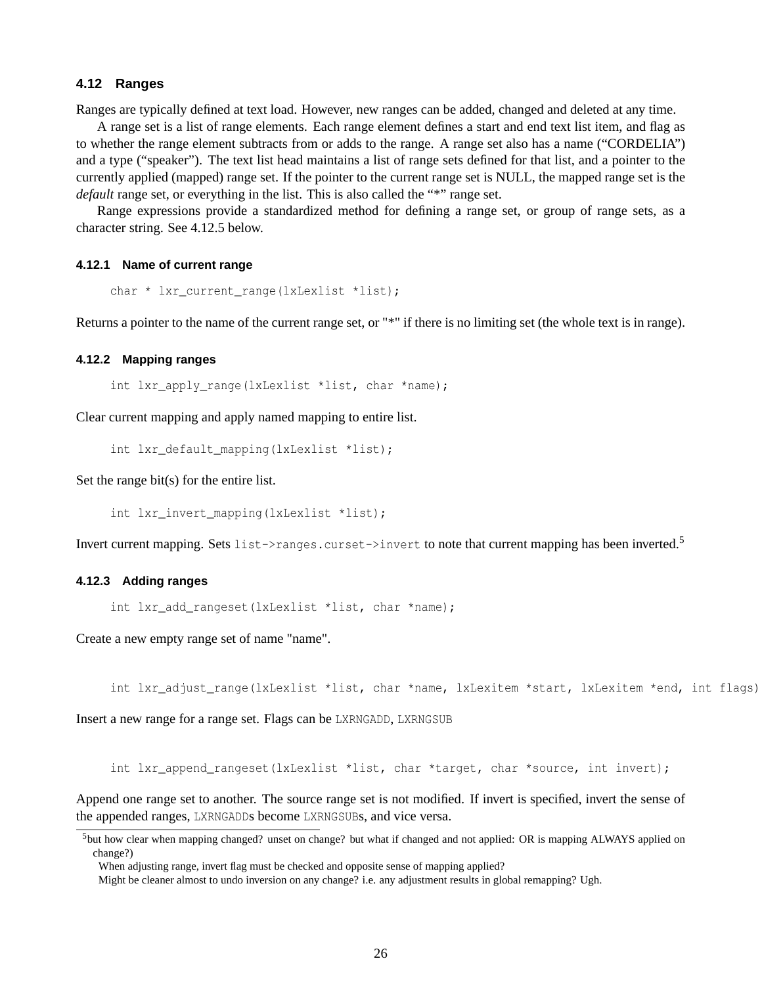#### **4.12 Ranges**

Ranges are typically defined at text load. However, new ranges can be added, changed and deleted at any time.

A range set is a list of range elements. Each range element defines a start and end text list item, and flag as to whether the range element subtracts from or adds to the range. A range set also has a name ("CORDELIA") and a type ("speaker"). The text list head maintains a list of range sets defined for that list, and a pointer to the currently applied (mapped) range set. If the pointer to the current range set is NULL, the mapped range set is the *default* range set, or everything in the list. This is also called the "\*" range set.

Range expressions provide a standardized method for defining a range set, or group of range sets, as a character string. See 4.12.5 below.

#### **4.12.1 Name of current range**

```
char * lxr_current_range(lxLexlist *list);
```
Returns a pointer to the name of the current range set, or "\*" if there is no limiting set (the whole text is in range).

#### **4.12.2 Mapping ranges**

```
int lxr apply range(lxLexlist *list, char *name);
```
Clear current mapping and apply named mapping to entire list.

```
int lxr default mapping(lxLexlist *list);
```
Set the range bit(s) for the entire list.

```
int lxr invert mapping(lxLexlist *list);
```
Invert current mapping. Sets list->ranges.curset->invert to note that current mapping has been inverted.<sup>5</sup>

#### **4.12.3 Adding ranges**

int lxr\_add\_rangeset(lxLexlist \*list, char \*name);

Create a new empty range set of name "name".

int lxr\_adjust\_range(lxLexlist \*list, char \*name, lxLexitem \*start, lxLexitem \*end, int flags)

Insert a new range for a range set. Flags can be LXRNGADD, LXRNGSUB

int lxr\_append\_rangeset(lxLexlist \*list, char \*target, char \*source, int invert);

Append one range set to another. The source range set is not modified. If invert is specified, invert the sense of the appended ranges, LXRNGADDs become LXRNGSUBs, and vice versa.

<sup>5</sup>but how clear when mapping changed? unset on change? but what if changed and not applied: OR is mapping ALWAYS applied on change?)

When adjusting range, invert flag must be checked and opposite sense of mapping applied?

Might be cleaner almost to undo inversion on any change? i.e. any adjustment results in global remapping? Ugh.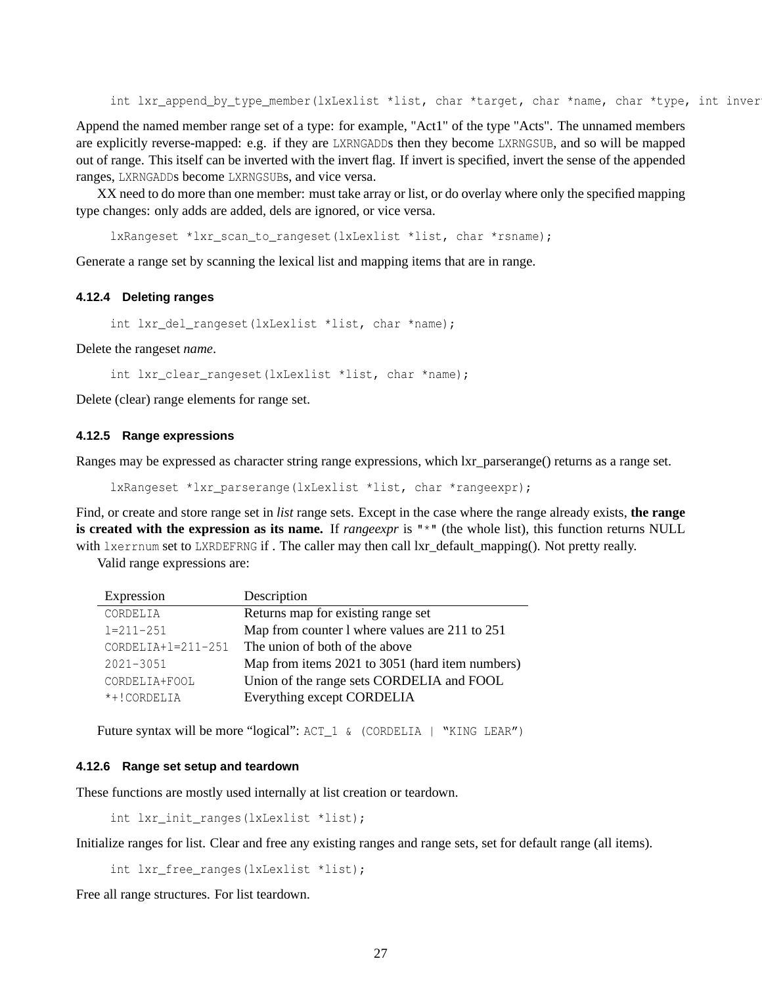int lxr\_append\_by\_type\_member(lxLexlist \*list, char \*target, char \*name, char \*type, int inver

Append the named member range set of a type: for example, "Act1" of the type "Acts". The unnamed members are explicitly reverse-mapped: e.g. if they are LXRNGADDs then they become LXRNGSUB, and so will be mapped out of range. This itself can be inverted with the invert flag. If invert is specified, invert the sense of the appended ranges, LXRNGADDs become LXRNGSUBs, and vice versa.

XX need to do more than one member: must take array or list, or do overlay where only the specified mapping type changes: only adds are added, dels are ignored, or vice versa.

lxRangeset \*lxr\_scan\_to\_rangeset(lxLexlist \*list, char \*rsname);

Generate a range set by scanning the lexical list and mapping items that are in range.

#### **4.12.4 Deleting ranges**

int lxr del rangeset(lxLexlist \*list, char \*name);

Delete the rangeset *name*.

int lxr\_clear\_rangeset(lxLexlist \*list, char \*name);

Delete (clear) range elements for range set.

#### **4.12.5 Range expressions**

Ranges may be expressed as character string range expressions, which lxr\_parserange() returns as a range set.

lxRangeset \*lxr\_parserange(lxLexlist \*list, char \*rangeexpr);

Find, or create and store range set in *list* range sets. Except in the case where the range already exists, **the range is created with the expression as its name.** If *rangeexpr* is "\*" (the whole list), this function returns NULL with lxerrnum set to LXRDEFRNG if. The caller may then call lxr\_default\_mapping(). Not pretty really.

Valid range expressions are:

| Description                                     |
|-------------------------------------------------|
| Returns map for existing range set              |
| Map from counter 1 where values are 211 to 251  |
| The union of both of the above                  |
| Map from items 2021 to 3051 (hard item numbers) |
| Union of the range sets CORDELIA and FOOL       |
| Everything except CORDELIA                      |
|                                                 |

Future syntax will be more "logical": ACT\_1 & (CORDELIA | "KING LEAR")

#### **4.12.6 Range set setup and teardown**

These functions are mostly used internally at list creation or teardown.

int lxr\_init\_ranges(lxLexlist \*list);

Initialize ranges for list. Clear and free any existing ranges and range sets, set for default range (all items).

int lxr\_free\_ranges(lxLexlist \*list);

Free all range structures. For list teardown.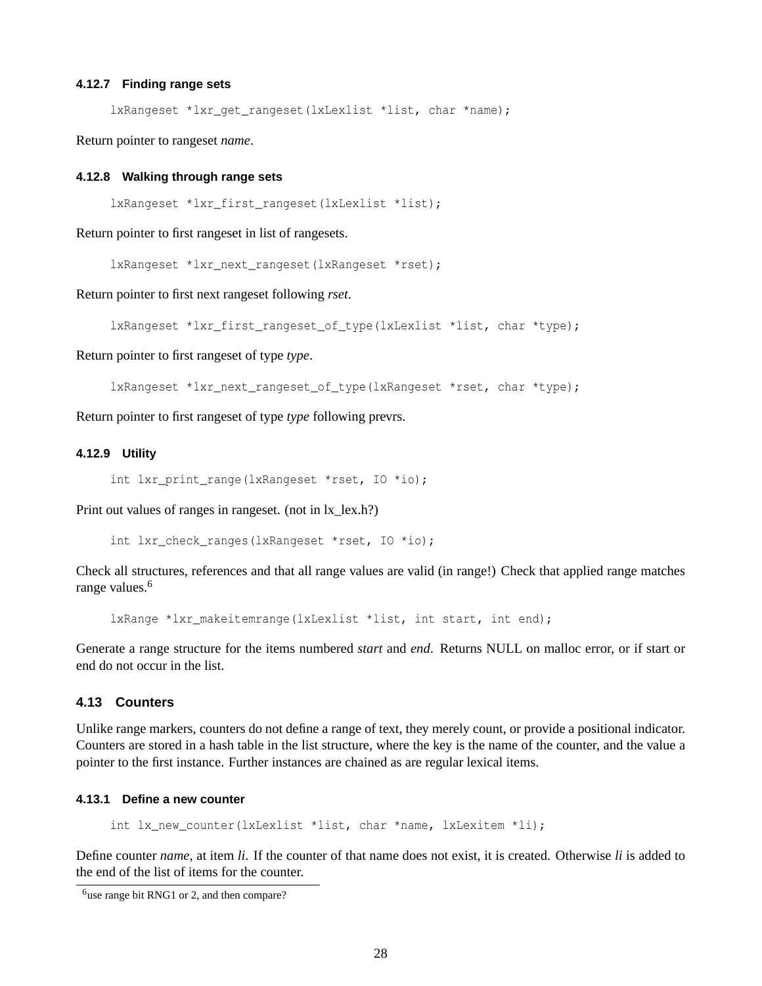#### **4.12.7 Finding range sets**

lxRangeset \*lxr\_get\_rangeset(lxLexlist \*list, char \*name);

Return pointer to rangeset *name*.

#### **4.12.8 Walking through range sets**

lxRangeset \*lxr\_first\_rangeset(lxLexlist \*list);

Return pointer to first rangeset in list of rangesets.

lxRangeset \*lxr\_next\_rangeset(lxRangeset \*rset);

Return pointer to first next rangeset following *rset*.

lxRangeset \*lxr\_first\_rangeset\_of\_type(lxLexlist \*list, char \*type);

Return pointer to first rangeset of type *type*.

lxRangeset \*lxr\_next\_rangeset\_of\_type(lxRangeset \*rset, char \*type);

Return pointer to first rangeset of type *type* following prevrs.

#### **4.12.9 Utility**

int lxr\_print\_range(lxRangeset \*rset, IO \*io);

Print out values of ranges in rangeset. (not in  $\vert x_{\perp} \vert$ ex.h?)

int lxr\_check\_ranges(lxRangeset \*rset, IO \*io);

Check all structures, references and that all range values are valid (in range!) Check that applied range matches range values.<sup>6</sup>

lxRange \*lxr makeitemrange(lxLexlist \*list, int start, int end);

Generate a range structure for the items numbered *start* and *end*. Returns NULL on malloc error, or if start or end do not occur in the list.

#### **4.13 Counters**

Unlike range markers, counters do not define a range of text, they merely count, or provide a positional indicator. Counters are stored in a hash table in the list structure, where the key is the name of the counter, and the value a pointer to the first instance. Further instances are chained as are regular lexical items.

#### **4.13.1 Define a new counter**

int lx\_new\_counter(lxLexlist \*list, char \*name, lxLexitem \*li);

Define counter *name*, at item *li*. If the counter of that name does not exist, it is created. Otherwise *li* is added to the end of the list of items for the counter.

 $<sup>6</sup>$ use range bit RNG1 or 2, and then compare?</sup>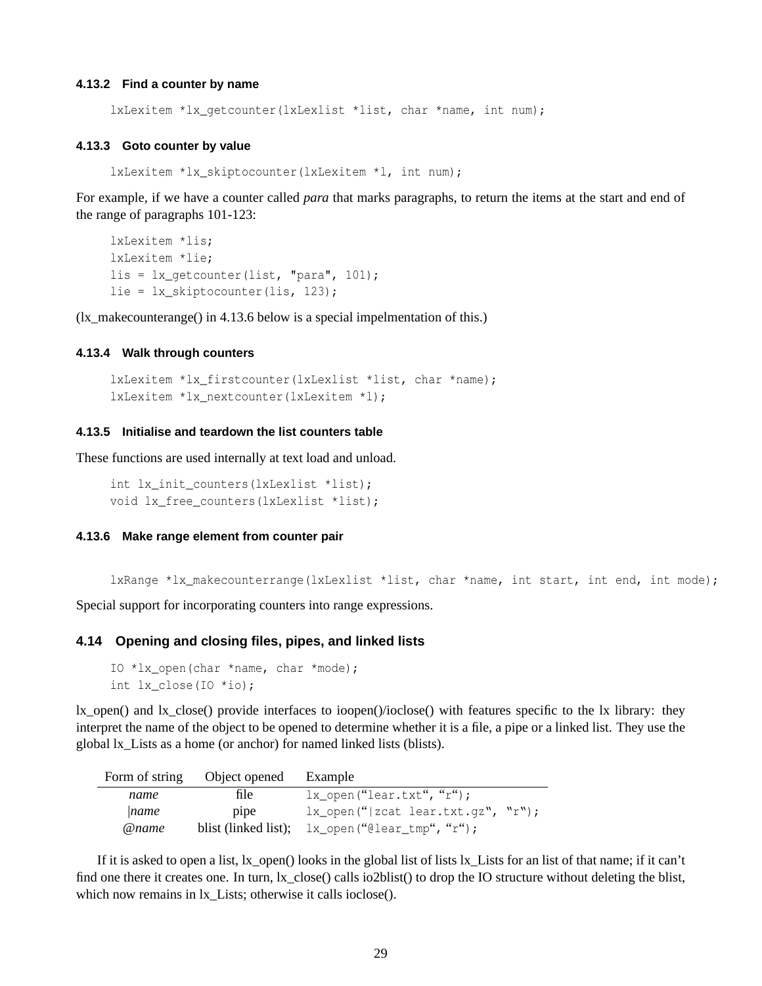#### **4.13.2 Find a counter by name**

lxLexitem \*lx\_getcounter(lxLexlist \*list, char \*name, int num);

#### **4.13.3 Goto counter by value**

```
lxLexitem *lx_skiptocounter(lxLexitem *l, int num);
```
For example, if we have a counter called *para* that marks paragraphs, to return the items at the start and end of the range of paragraphs 101-123:

```
lxLexitem *lis;
lxLexitem *lie;
lis = lx_getcounter(list, "para", 101);
lie = lx_skiptocounter(lis, 123);
```
(lx\_makecounterange() in 4.13.6 below is a special impelmentation of this.)

#### **4.13.4 Walk through counters**

```
lxLexitem *lx_firstcounter(lxLexlist *list, char *name);
lxLexitem *lx_nextcounter(lxLexitem *l);
```
#### **4.13.5 Initialise and teardown the list counters table**

These functions are used internally at text load and unload.

```
int lx_init_counters(lxLexlist *list);
void lx free counters(lxLexlist *list);
```
#### **4.13.6 Make range element from counter pair**

```
lxRange *lx_makecounterrange(lxLexlist *list, char *name, int start, int end, int mode);
```
Special support for incorporating counters into range expressions.

#### **4.14 Opening and closing files, pipes, and linked lists**

```
IO *lx_open(char *name, char *mode);
int lx_close(IO *io);
```
lx\_open() and lx\_close() provide interfaces to ioopen()/ioclose() with features specific to the lx library: they interpret the name of the object to be opened to determine whether it is a file, a pipe or a linked list. They use the global lx\_Lists as a home (or anchor) for named linked lists (blists).

| Form of string | Object opened | Example                                                  |
|----------------|---------------|----------------------------------------------------------|
| name           | file          | $lx\_open("lear.txt", "r")$ ;                            |
| name           | pipe          | $lx\_open(" zcat.lear.txt.qz", "r");$                    |
| @name          |               | blist (linked list); $lx\_open$ (" $@lear\_tmp$ ", "r"); |

If it is asked to open a list, lx  $open()$  looks in the global list of lists lx Lists for an list of that name; if it can't find one there it creates one. In turn,  $|x_c|$ close() calls io2blist() to drop the IO structure without deleting the blist, which now remains in lx\_Lists; otherwise it calls ioclose().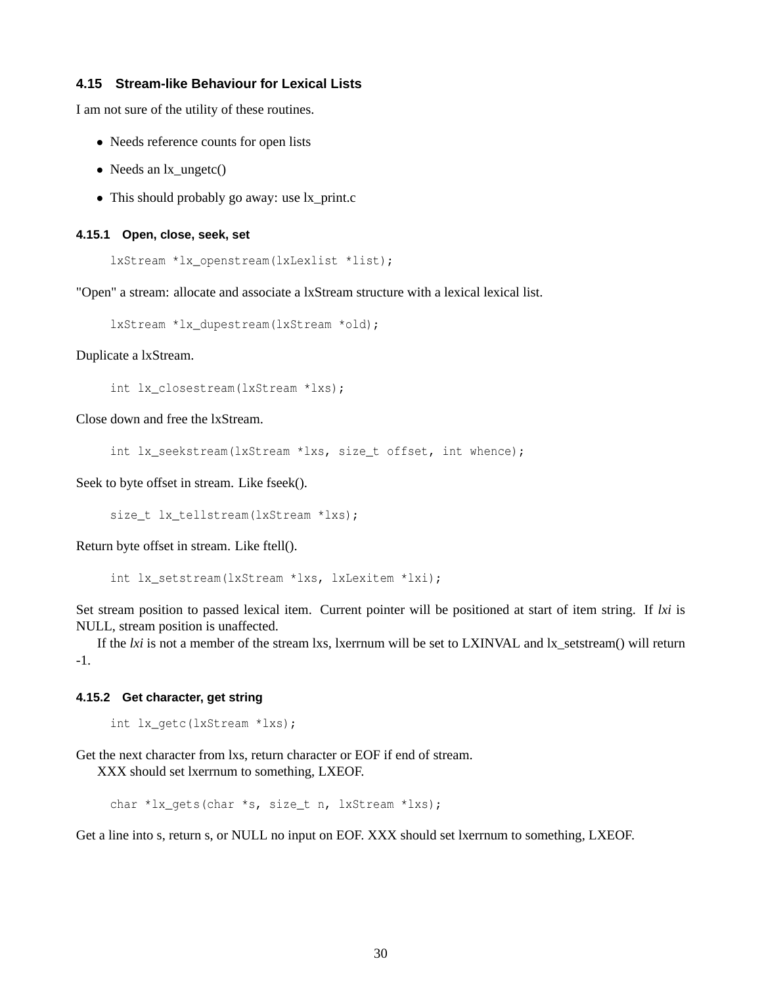#### **4.15 Stream-like Behaviour for Lexical Lists**

I am not sure of the utility of these routines.

- Needs reference counts for open lists
- Needs an  $lx\_ungetc()$
- This should probably go away: use lx\_print.c

#### **4.15.1 Open, close, seek, set**

lxStream \*lx\_openstream(lxLexlist \*list);

"Open" a stream: allocate and associate a lxStream structure with a lexical lexical list.

lxStream \*lx\_dupestream(lxStream \*old);

#### Duplicate a lxStream.

int lx\_closestream(lxStream \*lxs);

Close down and free the lxStream.

int lx\_seekstream(lxStream \*lxs, size\_t offset, int whence);

Seek to byte offset in stream. Like fseek().

size\_t lx\_tellstream(lxStream \*lxs);

Return byte offset in stream. Like ftell().

int lx\_setstream(lxStream \*lxs, lxLexitem \*lxi);

Set stream position to passed lexical item. Current pointer will be positioned at start of item string. If *lxi* is NULL, stream position is unaffected.

If the *lxi* is not a member of the stream lxs, lxerrnum will be set to LXINVAL and lx\_setstream() will return -1.

#### **4.15.2 Get character, get string**

```
int lx_getc(lxStream *lxs);
```
Get the next character from lxs, return character or EOF if end of stream.

XXX should set lxerrnum to something, LXEOF.

char \*lx\_gets(char \*s, size\_t n, lxStream \*lxs);

Get a line into s, return s, or NULL no input on EOF. XXX should set lxerrnum to something, LXEOF.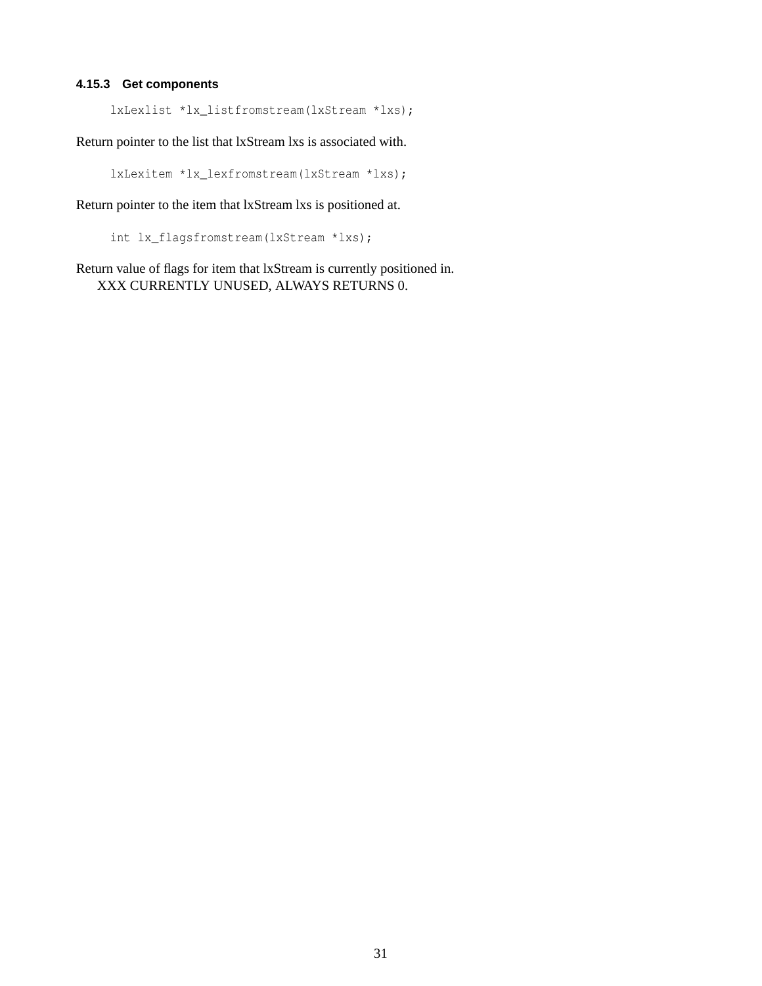#### **4.15.3 Get components**

lxLexlist \*lx\_listfromstream(lxStream \*lxs);

Return pointer to the list that lxStream lxs is associated with.

lxLexitem \*lx\_lexfromstream(lxStream \*lxs);

Return pointer to the item that lxStream lxs is positioned at.

int lx\_flagsfromstream(lxStream \*lxs);

Return value of flags for item that lxStream is currently positioned in. XXX CURRENTLY UNUSED, ALWAYS RETURNS 0.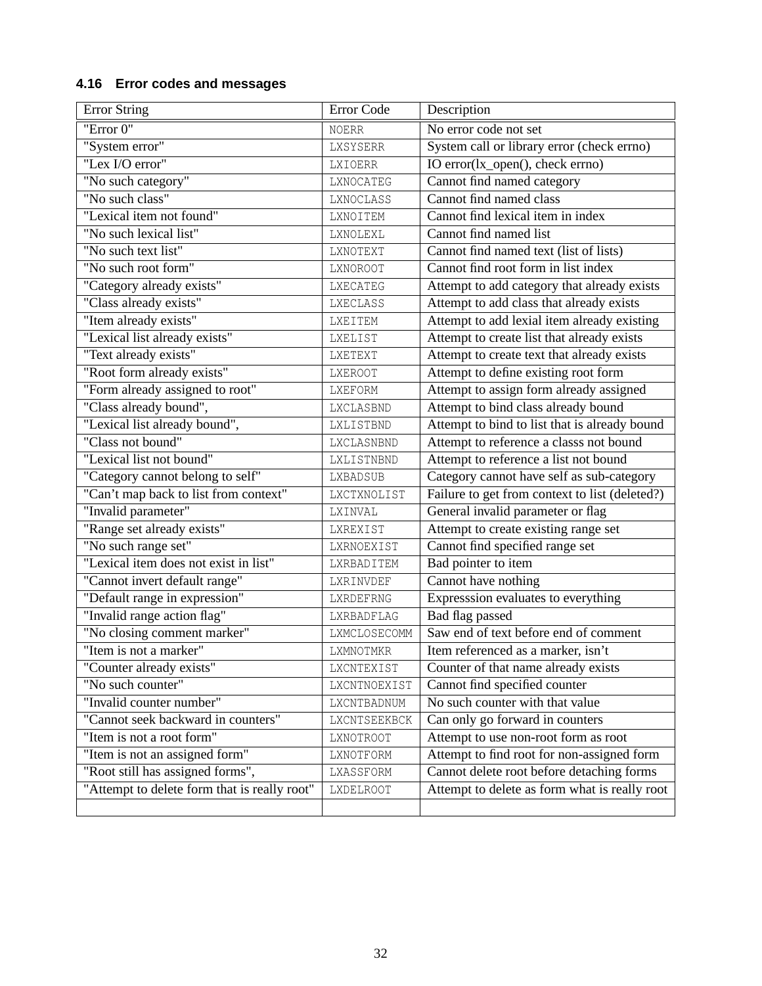## **4.16 Error codes and messages**

| <b>Error String</b>                          | <b>Error Code</b> | Description                                    |
|----------------------------------------------|-------------------|------------------------------------------------|
| "Error 0"                                    | <b>NOERR</b>      | No error code not set                          |
| "System error"                               | LXSYSERR          | System call or library error (check errno)     |
| "Lex I/O error"                              | LXIOERR           | IO error(lx_open(), check errno)               |
| "No such category"                           | LXNOCATEG         | Cannot find named category                     |
| "No such class"                              | <b>LXNOCLASS</b>  | Cannot find named class                        |
| "Lexical item not found"                     | LXNOITEM          | Cannot find lexical item in index              |
| "No such lexical list"                       | LXNOLEXL          | Cannot find named list                         |
| "No such text list"                          | LXNOTEXT          | Cannot find named text (list of lists)         |
| "No such root form"                          | <b>LXNOROOT</b>   | Cannot find root form in list index            |
| "Category already exists"                    | LXECATEG          | Attempt to add category that already exists    |
| "Class already exists"                       | <b>LXECLASS</b>   | Attempt to add class that already exists       |
| "Item already exists"                        | LXEITEM           | Attempt to add lexial item already existing    |
| "Lexical list already exists"                | LXELIST           | Attempt to create list that already exists     |
| "Text already exists"                        | LXETEXT           | Attempt to create text that already exists     |
| "Root form already exists"                   | <b>LXEROOT</b>    | Attempt to define existing root form           |
| "Form already assigned to root"              | LXEFORM           | Attempt to assign form already assigned        |
| "Class already bound",                       | LXCLASBND         | Attempt to bind class already bound            |
| "Lexical list already bound",                | LXLISTBND         | Attempt to bind to list that is already bound  |
| "Class not bound"                            | LXCLASNBND        | Attempt to reference a classs not bound        |
| "Lexical list not bound"                     | LXLISTNBND        | Attempt to reference a list not bound          |
| "Category cannot belong to self"             | LXBADSUB          | Category cannot have self as sub-category      |
| "Can't map back to list from context"        | LXCTXNOLIST       | Failure to get from context to list (deleted?) |
| "Invalid parameter"                          | LXINVAL           | General invalid parameter or flag              |
| "Range set already exists"                   | LXREXIST          | Attempt to create existing range set           |
| "No such range set"                          | LXRNOEXIST        | Cannot find specified range set                |
| "Lexical item does not exist in list"        | LXRBADITEM        | Bad pointer to item                            |
| "Cannot invert default range"                | LXRINVDEF         | Cannot have nothing                            |
| "Default range in expression"                | LXRDEFRNG         | Expresssion evaluates to everything            |
| "Invalid range action flag"                  | LXRBADFLAG        | Bad flag passed                                |
| "No closing comment marker"                  | LXMCLOSECOMM      | Saw end of text before end of comment          |
| "Item is not a marker"                       | LXMNOTMKR         | Item referenced as a marker, isn't             |
| "Counter already exists"                     | <b>LXCNTEXIST</b> | Counter of that name already exists            |
| "No such counter"                            | LXCNTNOEXIST      | Cannot find specified counter                  |
| "Invalid counter number"                     | LXCNTBADNUM       | No such counter with that value                |
| "Cannot seek backward in counters"           | LXCNTSEEKBCK      | Can only go forward in counters                |
| "Item is not a root form"                    | LXNOTROOT         | Attempt to use non-root form as root           |
| "Item is not an assigned form"               | LXNOTFORM         | Attempt to find root for non-assigned form     |
| "Root still has assigned forms",             | LXASSFORM         | Cannot delete root before detaching forms      |
| "Attempt to delete form that is really root" | <b>LXDELROOT</b>  | Attempt to delete as form what is really root  |
|                                              |                   |                                                |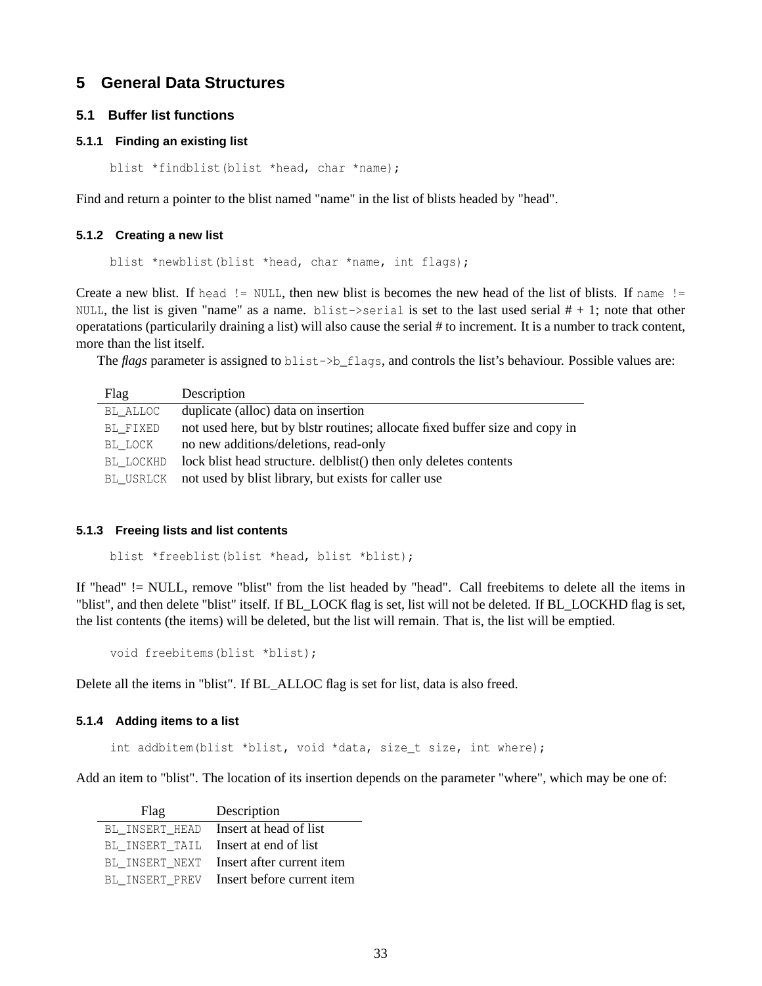## **5 General Data Structures**

#### **5.1 Buffer list functions**

#### **5.1.1 Finding an existing list**

blist \*findblist(blist \*head, char \*name);

Find and return a pointer to the blist named "name" in the list of blists headed by "head".

#### **5.1.2 Creating a new list**

blist \*newblist(blist \*head, char \*name, int flags);

Create a new blist. If head != NULL, then new blist is becomes the new head of the list of blists. If name != NULL, the list is given "name" as a name. blist->serial is set to the last used serial  $# + 1$ ; note that other operatations (particularily draining a list) will also cause the serial # to increment. It is a number to track content, more than the list itself.

The *flags* parameter is assigned to blist->b\_flags, and controls the list's behaviour. Possible values are:

| Flag      | Description                                                                  |
|-----------|------------------------------------------------------------------------------|
| BL ALLOC  | duplicate (alloc) data on insertion                                          |
| BL_FIXED  | not used here, but by blstr routines; allocate fixed buffer size and copy in |
| BL LOCK   | no new additions/deletions, read-only                                        |
| BL LOCKHD | lock blist head structure. delblist() then only deletes contents             |
| BL USRLCK | not used by blist library, but exists for caller use                         |

#### **5.1.3 Freeing lists and list contents**

```
blist *freeblist(blist *head, blist *blist);
```
If "head" != NULL, remove "blist" from the list headed by "head". Call freebitems to delete all the items in "blist", and then delete "blist" itself. If BL\_LOCK flag is set, list will not be deleted. If BL\_LOCKHD flag is set, the list contents (the items) will be deleted, but the list will remain. That is, the list will be emptied.

void freebitems(blist \*blist);

Delete all the items in "blist". If BL\_ALLOC flag is set for list, data is also freed.

#### **5.1.4 Adding items to a list**

int addbitem(blist \*blist, void \*data, size\_t size, int where);

Add an item to "blist". The location of its insertion depends on the parameter "where", which may be one of:

| Description                                  |
|----------------------------------------------|
| BL_INSERT_HEAD    Insert at head of list     |
| BL INSERT TAIL Insert at end of list         |
| Insert after current item<br>BL INSERT NEXT  |
| Insert before current item<br>BL INSERT PREV |
|                                              |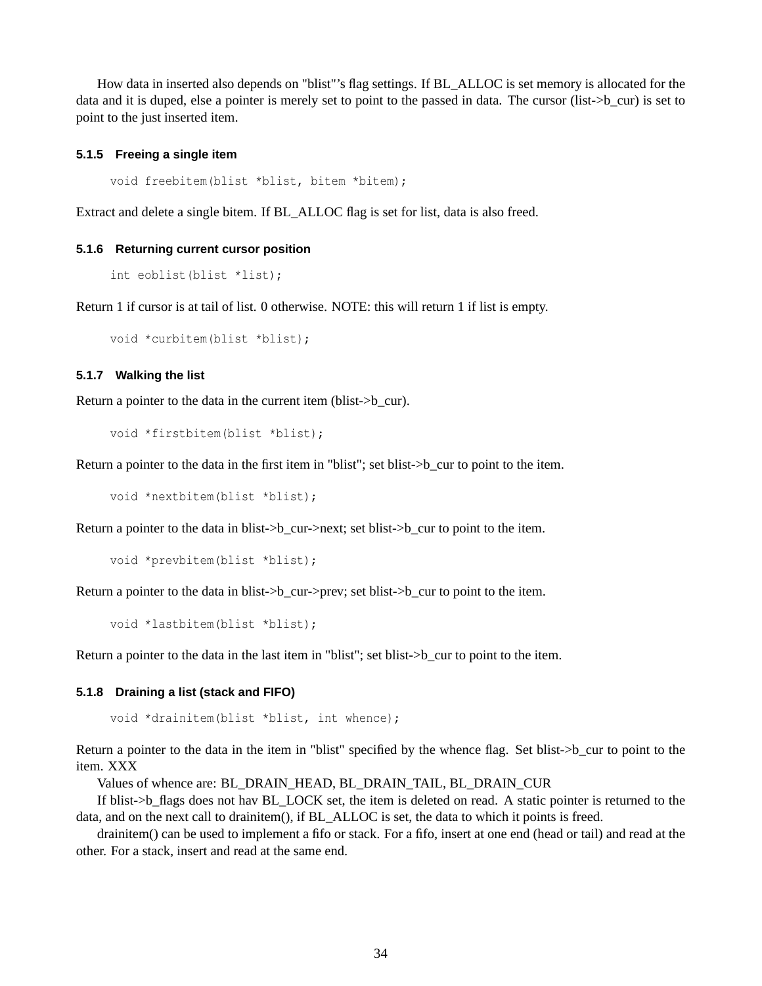How data in inserted also depends on "blist"'s flag settings. If BL\_ALLOC is set memory is allocated for the data and it is duped, else a pointer is merely set to point to the passed in data. The cursor (list->b\_cur) is set to point to the just inserted item.

#### **5.1.5 Freeing a single item**

void freebitem(blist \*blist, bitem \*bitem);

Extract and delete a single bitem. If BL\_ALLOC flag is set for list, data is also freed.

#### **5.1.6 Returning current cursor position**

```
int eoblist(blist *list);
```
Return 1 if cursor is at tail of list. 0 otherwise. NOTE: this will return 1 if list is empty.

```
void *curbitem(blist *blist);
```
#### **5.1.7 Walking the list**

Return a pointer to the data in the current item (blist->b\_cur).

```
void *firstbitem(blist *blist);
```
Return a pointer to the data in the first item in "blist"; set blist->b\_cur to point to the item.

void \*nextbitem(blist \*blist);

Return a pointer to the data in blist- $>b$  cur- $>$ next; set blist- $>b$  cur to point to the item.

```
void *prevbitem(blist *blist);
```
Return a pointer to the data in blist- $>b$  cur- $>$ prev; set blist- $>b$  cur to point to the item.

```
void *lastbitem(blist *blist);
```
Return a pointer to the data in the last item in "blist"; set blist->b\_cur to point to the item.

#### **5.1.8 Draining a list (stack and FIFO)**

void \*drainitem(blist \*blist, int whence);

Return a pointer to the data in the item in "blist" specified by the whence flag. Set blist->b\_cur to point to the item. XXX

Values of whence are: BL\_DRAIN\_HEAD, BL\_DRAIN\_TAIL, BL\_DRAIN\_CUR

If blist->b\_flags does not hav BL\_LOCK set, the item is deleted on read. A static pointer is returned to the data, and on the next call to drainitem(), if BL ALLOC is set, the data to which it points is freed.

drainitem() can be used to implement a fifo or stack. For a fifo, insert at one end (head or tail) and read at the other. For a stack, insert and read at the same end.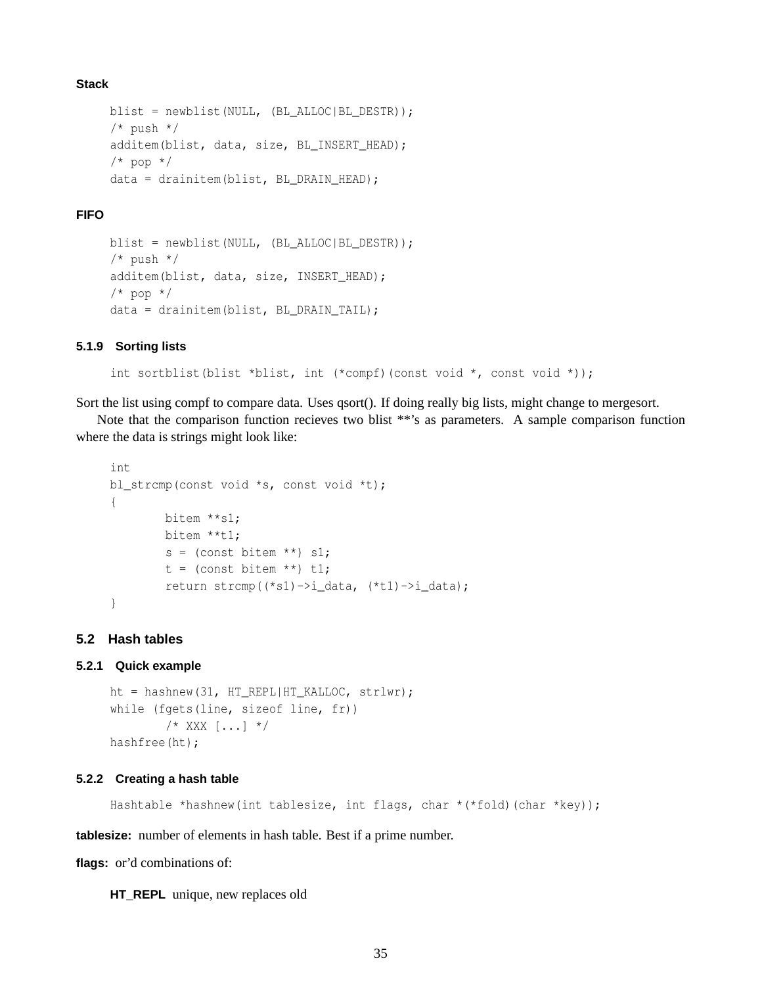**Stack**

```
blist = newblist(NULL, (BL_ALLOC|BL_DESTR));
/* push */additem(blist, data, size, BL_INSERT_HEAD);
/* pop */data = drainitem(blist, BL_DRAIN_HEAD);
```
#### **FIFO**

```
blist = newblist(NULL, (BL ALLOC|BL DESTR));
/* push */additem(blist, data, size, INSERT_HEAD);
/* pop */
data = drainitem(blist, BL DRAIN TAIL);
```
#### **5.1.9 Sorting lists**

int sortblist(blist \*blist, int (\*compf)(const void \*, const void \*));

Sort the list using compf to compare data. Uses qsort(). If doing really big lists, might change to mergesort.

Note that the comparison function recieves two blist \*\*'s as parameters. A sample comparison function where the data is strings might look like:

```
int
bl_strcmp(const void *s, const void *t);
{
         bitem **s1;
         bitem **t1;
         s = (const \text{ bitem } **) \text{ s1};t = (const \text{ bitem } **) t1;return strcmp((*s1)->i_data, (*t1)->i_data);
}
```
#### **5.2 Hash tables**

#### **5.2.1 Quick example**

```
ht = hashnew(31, HT_REPL|HT_KALLOC, strlwr);
while (fgets(line, sizeof line, fr))
        /* XXX [...] */
hashfree(ht);
```
#### **5.2.2 Creating a hash table**

Hashtable \*hashnew(int tablesize, int flags, char \*(\*fold)(char \*key));

**tablesize:** number of elements in hash table. Best if a prime number.

**flags:** or'd combinations of:

**HT\_REPL** unique, new replaces old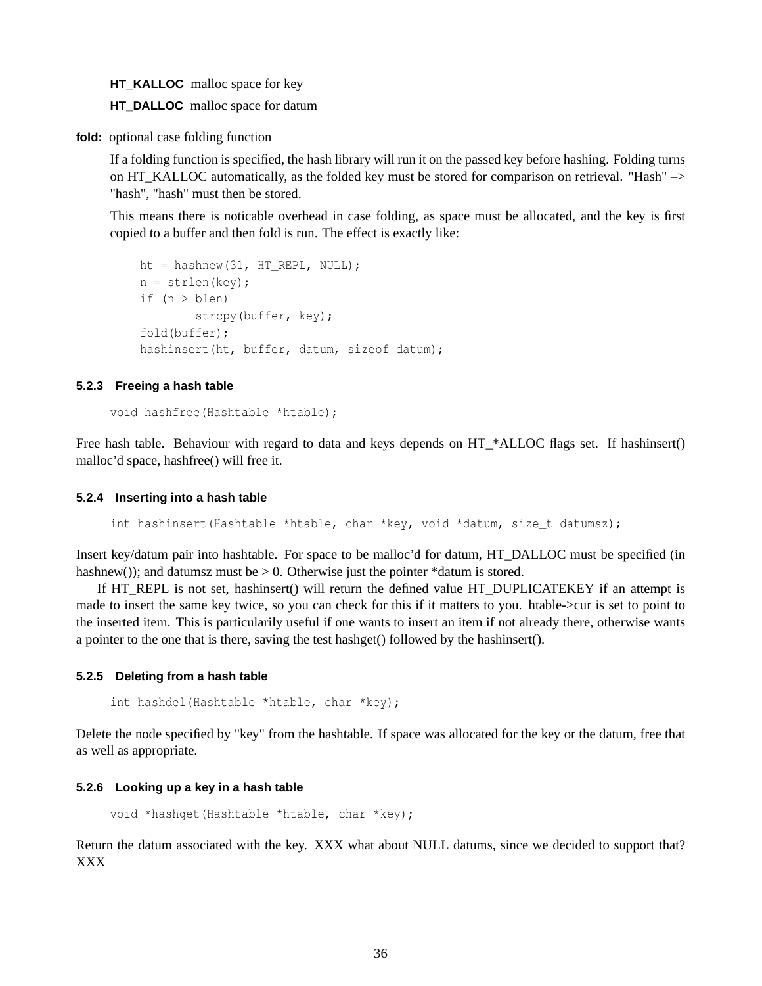**HT\_KALLOC** malloc space for key

**HT\_DALLOC** malloc space for datum

**fold:** optional case folding function

If a folding function is specified, the hash library will run it on the passed key before hashing. Folding turns on HT\_KALLOC automatically, as the folded key must be stored for comparison on retrieval. "Hash" –> "hash", "hash" must then be stored.

This means there is noticable overhead in case folding, as space must be allocated, and the key is first copied to a buffer and then fold is run. The effect is exactly like:

```
ht = hashnew(31, HT_REPL, NULL);
n = \text{strlen}(\text{key});
if (n > blen)
        strcpy(buffer, key);
fold(buffer);
hashinsert(ht, buffer, datum, sizeof datum);
```
#### **5.2.3 Freeing a hash table**

void hashfree(Hashtable \*htable);

Free hash table. Behaviour with regard to data and keys depends on HT\_\*ALLOC flags set. If hashinsert() malloc'd space, hashfree() will free it.

#### **5.2.4 Inserting into a hash table**

int hashinsert(Hashtable \*htable, char \*key, void \*datum, size\_t datumsz);

Insert key/datum pair into hashtable. For space to be malloc'd for datum, HT\_DALLOC must be specified (in hashnew()); and datumsz must be  $> 0$ . Otherwise just the pointer \*datum is stored.

If HT\_REPL is not set, hashinsert() will return the defined value HT\_DUPLICATEKEY if an attempt is made to insert the same key twice, so you can check for this if it matters to you. htable->cur is set to point to the inserted item. This is particularily useful if one wants to insert an item if not already there, otherwise wants a pointer to the one that is there, saving the test hashget() followed by the hashinsert().

#### **5.2.5 Deleting from a hash table**

int hashdel(Hashtable \*htable, char \*key);

Delete the node specified by "key" from the hashtable. If space was allocated for the key or the datum, free that as well as appropriate.

#### **5.2.6 Looking up a key in a hash table**

void \*hashget(Hashtable \*htable, char \*key);

Return the datum associated with the key. XXX what about NULL datums, since we decided to support that? XXX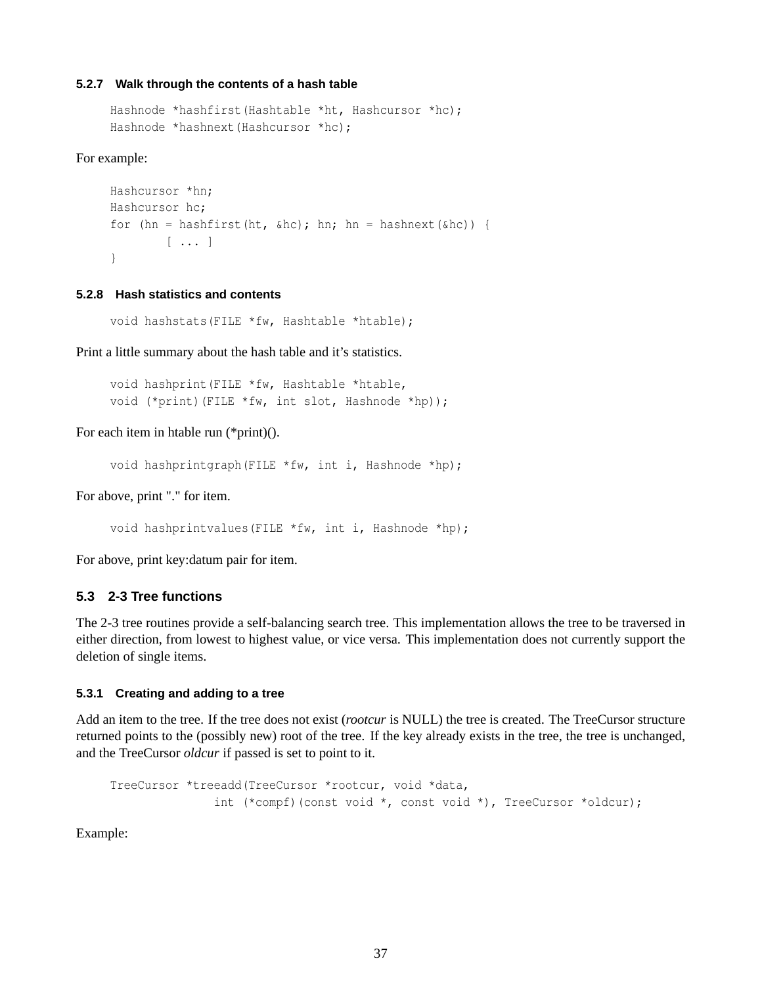#### **5.2.7 Walk through the contents of a hash table**

```
Hashnode *hashfirst(Hashtable *ht, Hashcursor *hc);
Hashnode *hashnext(Hashcursor *hc);
```
#### For example:

```
Hashcursor *hn;
Hashcursor hc;
for (hn = hashfirst(ht, \&hc); hn; hn = hashnext(\&hc)) {
        [ ... ]
}
```
#### **5.2.8 Hash statistics and contents**

```
void hashstats(FILE *fw, Hashtable *htable);
```
Print a little summary about the hash table and it's statistics.

```
void hashprint(FILE *fw, Hashtable *htable,
void (*print)(FILE *fw, int slot, Hashnode *hp));
```
For each item in htable run (\*print)().

```
void hashprintgraph(FILE *fw, int i, Hashnode *hp);
```
For above, print "." for item.

void hashprintvalues(FILE \*fw, int i, Hashnode \*hp);

For above, print key:datum pair for item.

#### **5.3 2-3 Tree functions**

The 2-3 tree routines provide a self-balancing search tree. This implementation allows the tree to be traversed in either direction, from lowest to highest value, or vice versa. This implementation does not currently support the deletion of single items.

#### **5.3.1 Creating and adding to a tree**

Add an item to the tree. If the tree does not exist (*rootcur* is NULL) the tree is created. The TreeCursor structure returned points to the (possibly new) root of the tree. If the key already exists in the tree, the tree is unchanged, and the TreeCursor *oldcur* if passed is set to point to it.

```
TreeCursor *treeadd(TreeCursor *rootcur, void *data,
               int (*compf)(const void *, const void *), TreeCursor *oldcur);
```
Example: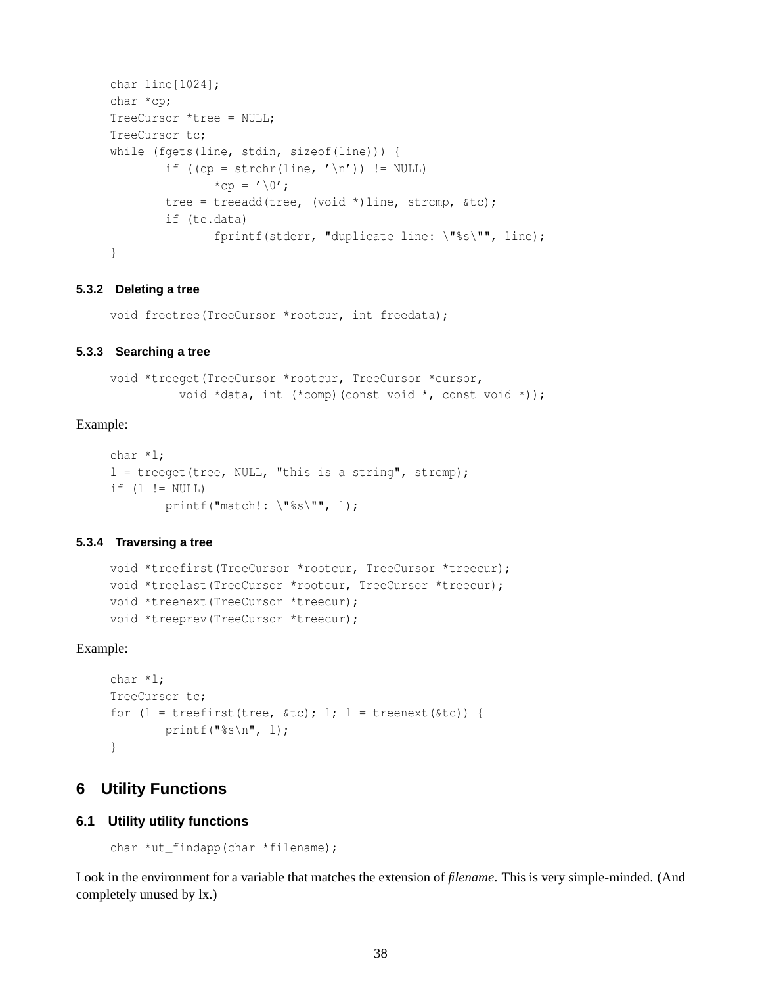```
char line[1024];
char *cp;
TreeCursor *tree = NULL;
TreeCursor tc;
while (fgets(line, stdin, sizeof(line))) {
        if ((cp = strchr(line, ' \n') ) != NULL)
                *cp = ' \setminus 0';
        tree = treeadd(tree, (void *)line, strcmp, &tc);
        if (tc.data)
                fprintf(stderr, "duplicate line: \"%s\"", line);
}
```
#### **5.3.2 Deleting a tree**

void freetree(TreeCursor \*rootcur, int freedata);

#### **5.3.3 Searching a tree**

```
void *treeget(TreeCursor *rootcur, TreeCursor *cursor,
          void *data, int (*comp)(const void *, const void *));
```
#### Example:

```
char *l;
l = treeget(tree, NULL, "this is a string", strcmp);
if (1 != NULL)printf("match!: \"%s\"", l);
```
#### **5.3.4 Traversing a tree**

```
void *treefirst(TreeCursor *rootcur, TreeCursor *treecur);
void *treelast(TreeCursor *rootcur, TreeCursor *treecur);
void *treenext(TreeCursor *treecur);
void *treeprev(TreeCursor *treecur);
```
#### Example:

```
char *l;
TreeCursor tc;
for (1 = treefirst(tree, \&tc); 1; 1 = treenext(\&tc)) {
        printf("%s\n", l);
}
```
## **6 Utility Functions**

#### **6.1 Utility utility functions**

```
char *ut_findapp(char *filename);
```
Look in the environment for a variable that matches the extension of *filename*. This is very simple-minded. (And completely unused by lx.)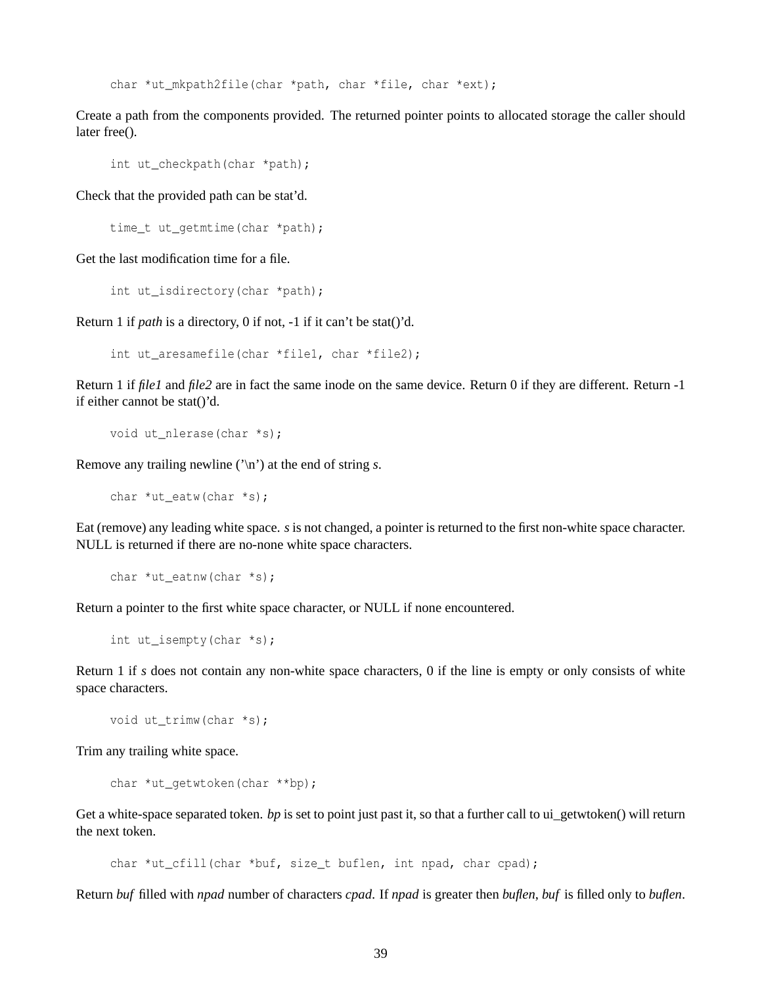char \*ut\_mkpath2file(char \*path, char \*file, char \*ext);

Create a path from the components provided. The returned pointer points to allocated storage the caller should later free().

```
int ut_checkpath(char *path);
```
Check that the provided path can be stat'd.

time t ut getmtime(char \*path);

Get the last modification time for a file.

int ut isdirectory(char \*path);

Return 1 if *path* is a directory, 0 if not, -1 if it can't be stat()'d.

int ut\_aresamefile(char \*file1, char \*file2);

Return 1 if *file1* and *file2* are in fact the same inode on the same device. Return 0 if they are different. Return -1 if either cannot be stat()'d.

```
void ut nlerase(char *s);
```
Remove any trailing newline ('\n') at the end of string *s*.

char  $*$ ut eatw(char  $*$ s);

Eat (remove) any leading white space. *s* is not changed, a pointer is returned to the first non-white space character. NULL is returned if there are no-none white space characters.

```
char *ut eatnw(char *s);
```
Return a pointer to the first white space character, or NULL if none encountered.

```
int ut_isempty(char *s);
```
Return 1 if *s* does not contain any non-white space characters, 0 if the line is empty or only consists of white space characters.

```
void ut_trimw(char *s);
```
Trim any trailing white space.

```
char *ut_getwtoken(char **bp);
```
Get a white-space separated token. *bp* is set to point just past it, so that a further call to ui\_getwtoken() will return the next token.

char \*ut\_cfill(char \*buf, size\_t buflen, int npad, char cpad);

Return *buf* filled with *npad* number of characters *cpad*. If *npad* is greater then *buflen*, *buf* is filled only to *buflen*.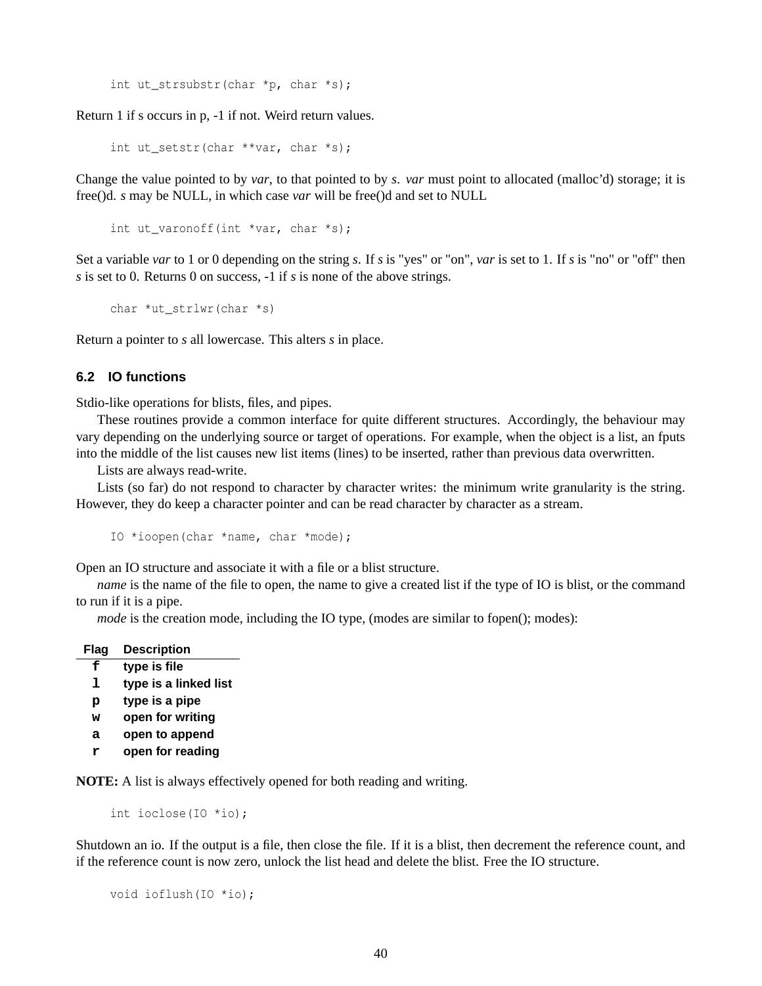int ut\_strsubstr(char \*p, char \*s);

Return 1 if s occurs in p, -1 if not. Weird return values.

```
int ut_setstr(char **var, char *s);
```
Change the value pointed to by *var*, to that pointed to by *s*. *var* must point to allocated (malloc'd) storage; it is free()d. *s* may be NULL, in which case *var* will be free()d and set to NULL

```
int ut_varonoff(int *var, char *s);
```
Set a variable *var* to 1 or 0 depending on the string *s*. If *s* is "yes" or "on", *var* is set to 1. If *s* is "no" or "off" then *s* is set to 0. Returns 0 on success, -1 if *s* is none of the above strings.

char \*ut\_strlwr(char \*s)

Return a pointer to *s* all lowercase. This alters *s* in place.

#### **6.2 IO functions**

Stdio-like operations for blists, files, and pipes.

These routines provide a common interface for quite different structures. Accordingly, the behaviour may vary depending on the underlying source or target of operations. For example, when the object is a list, an fputs into the middle of the list causes new list items (lines) to be inserted, rather than previous data overwritten.

Lists are always read-write.

Lists (so far) do not respond to character by character writes: the minimum write granularity is the string. However, they do keep a character pointer and can be read character by character as a stream.

IO \*ioopen(char \*name, char \*mode);

Open an IO structure and associate it with a file or a blist structure.

*name* is the name of the file to open, the name to give a created list if the type of IO is blist, or the command to run if it is a pipe.

*mode* is the creation mode, including the IO type, (modes are similar to fopen(); modes):

| Flag | <b>Description</b>    |
|------|-----------------------|
| f    | type is file          |
| ı    | type is a linked list |
| р    | type is a pipe        |
| w    | open for writing      |
| а    | open to append        |
| r    | open for reading      |
|      |                       |

**NOTE:** A list is always effectively opened for both reading and writing.

int ioclose(IO \*io);

Shutdown an io. If the output is a file, then close the file. If it is a blist, then decrement the reference count, and if the reference count is now zero, unlock the list head and delete the blist. Free the IO structure.

void ioflush(IO \*io);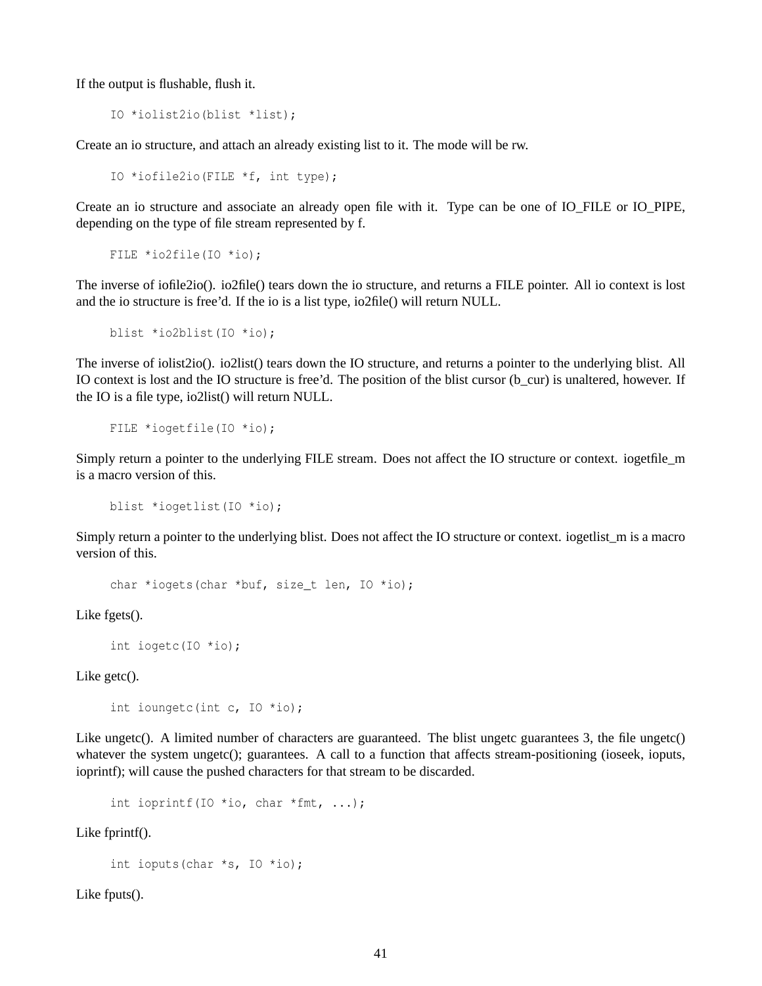If the output is flushable, flush it.

IO \*iolist2io(blist \*list);

Create an io structure, and attach an already existing list to it. The mode will be rw.

IO \*iofile2io(FILE \*f, int type);

Create an io structure and associate an already open file with it. Type can be one of IO\_FILE or IO\_PIPE, depending on the type of file stream represented by f.

FILE \*io2file(IO \*io);

The inverse of iofile2io(). io2file() tears down the io structure, and returns a FILE pointer. All io context is lost and the io structure is free'd. If the io is a list type, io2file() will return NULL.

blist \*io2blist(IO \*io);

The inverse of iolist2io(). io2list() tears down the IO structure, and returns a pointer to the underlying blist. All IO context is lost and the IO structure is free'd. The position of the blist cursor (b cur) is unaltered, however. If the IO is a file type, io2list() will return NULL.

FILE \*iogetfile(IO \*io);

Simply return a pointer to the underlying FILE stream. Does not affect the IO structure or context. iogetfile\_m is a macro version of this.

blist \*iogetlist(IO \*io);

Simply return a pointer to the underlying blist. Does not affect the IO structure or context, iogetlist m is a macro version of this.

char \*iogets(char \*buf, size\_t len, IO \*io);

Like fgets().

```
int iogetc(IO *io);
```
Like getc().

```
int ioungetc(int c, IO *io);
```
Like ungetc(). A limited number of characters are guaranteed. The blist ungetc guarantees 3, the file ungetc() whatever the system ungetc(); guarantees. A call to a function that affects stream-positioning (ioseek, ioputs, ioprintf); will cause the pushed characters for that stream to be discarded.

int ioprintf(IO \*io, char \*fmt, ...);

Like fprintf().

int ioputs(char \*s, IO \*io);

Like fputs().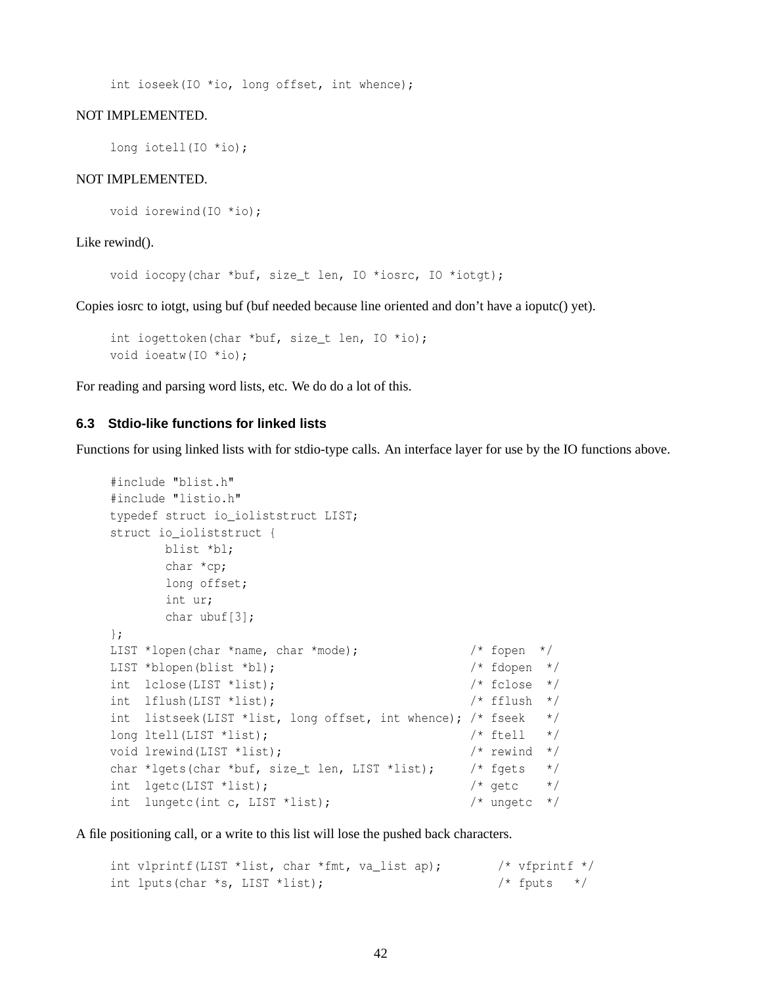int ioseek(IO \*io, long offset, int whence);

#### NOT IMPLEMENTED.

```
long iotell(IO *io);
```
#### NOT IMPLEMENTED.

void iorewind(IO \*io);

Like rewind().

void iocopy(char \*buf, size\_t len, IO \*iosrc, IO \*iotgt);

Copies iosrc to iotgt, using buf (buf needed because line oriented and don't have a ioputc() yet).

```
int iogettoken(char *buf, size_t len, IO *io);
void ioeatw(IO *io);
```
For reading and parsing word lists, etc. We do do a lot of this.

#### **6.3 Stdio-like functions for linked lists**

Functions for using linked lists with for stdio-type calls. An interface layer for use by the IO functions above.

```
#include "blist.h"
#include "listio.h"
typedef struct io_ioliststruct LIST;
struct io_ioliststruct {
     blist *bl;
      char *cp;
      long offset;
      int ur;
      char ubuf[3];
};
LIST *lopen(char *name, char *mode); \frac{1}{5} /* fopen */
LIST *blopen(blist *bl); \frac{1}{5} /* fdopen */
int lclose(LIST *list); \frac{1}{2} /* fclose */
int lflush(LIST *list); /* fflush */
int listseek(LIST *list, long offset, int whence); /* fseek */
long ltell(LIST *list); /* ftell */
void lrewind(LIST *list); \frac{1}{2} /* rewind */
char *lgets(char *buf, size_t len, LIST *list); /* fgets */
int lgetc(LIST *list); /* getc */
int lungetc(int c, LIST *list); /* ungetc */
```
A file positioning call, or a write to this list will lose the pushed back characters.

```
int vlprintf(LIST *list, char *fmt, va_list ap); /* vfprintf */
int lputs(char *s, LIST *list); \frac{1}{5} /* fputs */
```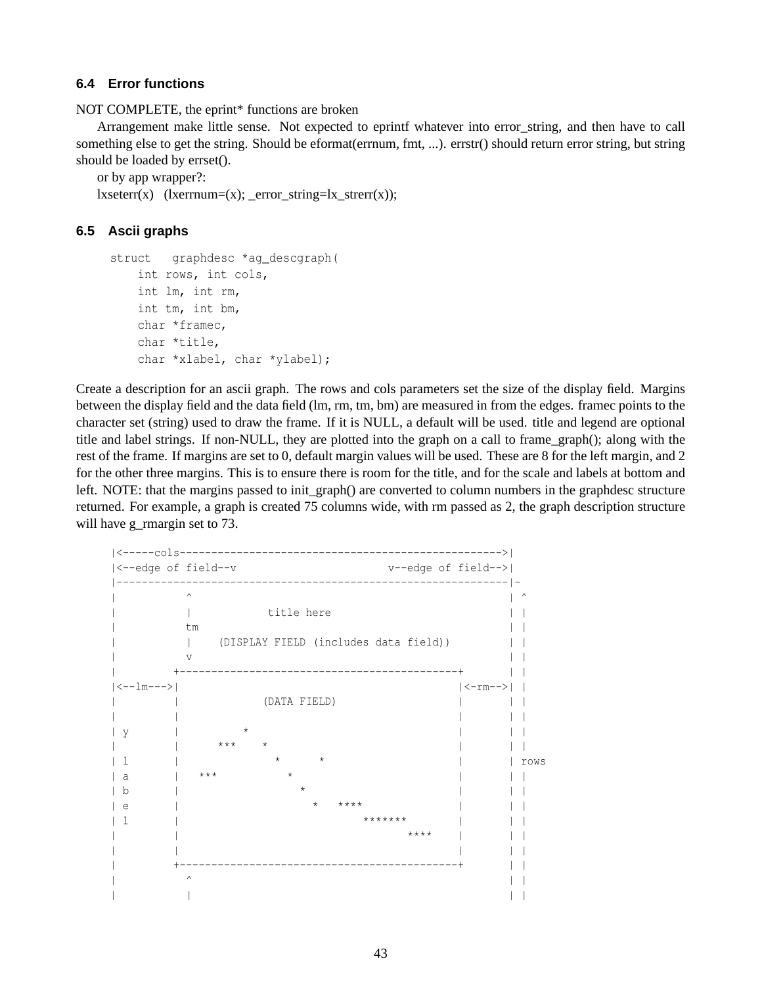#### **6.4 Error functions**

NOT COMPLETE, the eprint\* functions are broken

Arrangement make little sense. Not expected to eprintf whatever into error\_string, and then have to call something else to get the string. Should be eformat(errnum, fmt, ...). errstr() should return error string, but string should be loaded by errset().

```
or by app wrapper?:
lxseterr(x) (lxerrnum=(x); _error_string=lx_strerr(x));
```
#### **6.5 Ascii graphs**

```
struct graphdesc *ag_descgraph(
    int rows, int cols,
    int lm, int rm,
    int tm, int bm,
    char *framec,
    char *title,
    char *xlabel, char *ylabel);
```
Create a description for an ascii graph. The rows and cols parameters set the size of the display field. Margins between the display field and the data field (lm, rm, tm, bm) are measured in from the edges. framec points to the character set (string) used to draw the frame. If it is NULL, a default will be used. title and legend are optional title and label strings. If non-NULL, they are plotted into the graph on a call to frame\_graph(); along with the rest of the frame. If margins are set to 0, default margin values will be used. These are 8 for the left margin, and 2 for the other three margins. This is to ensure there is room for the title, and for the scale and labels at bottom and left. NOTE: that the margins passed to init\_graph() are converted to column numbers in the graphdesc structure returned. For example, a graph is created 75 columns wide, with rm passed as 2, the graph description structure will have g\_rmargin set to 73.

```
|<-----cols--------------------------------------------------->|
|<--edge of field--v v--edge of field-->|
      |--------------------------------------------------------------|-
\qquad \qquad \wedge| | title here | |
| tm | |
| | (DISPLAY FIELD (includes data field)) | |
\mathbf v| +--------------------------------------------+ | |
|<--lm--->| |<-rm-->| |
| | (DATA FIELD) | | |
| | | | |
| y | | * | | || | *** * | | |
| l | * * | | rows
| a | *** * * | | | |
| b | * | | |
| e | * **** * * | | | |
| l | ******* | | |
| | **** | | |
| | | | |
| +--------------------------------------------+ | |
\| \|| | | |
```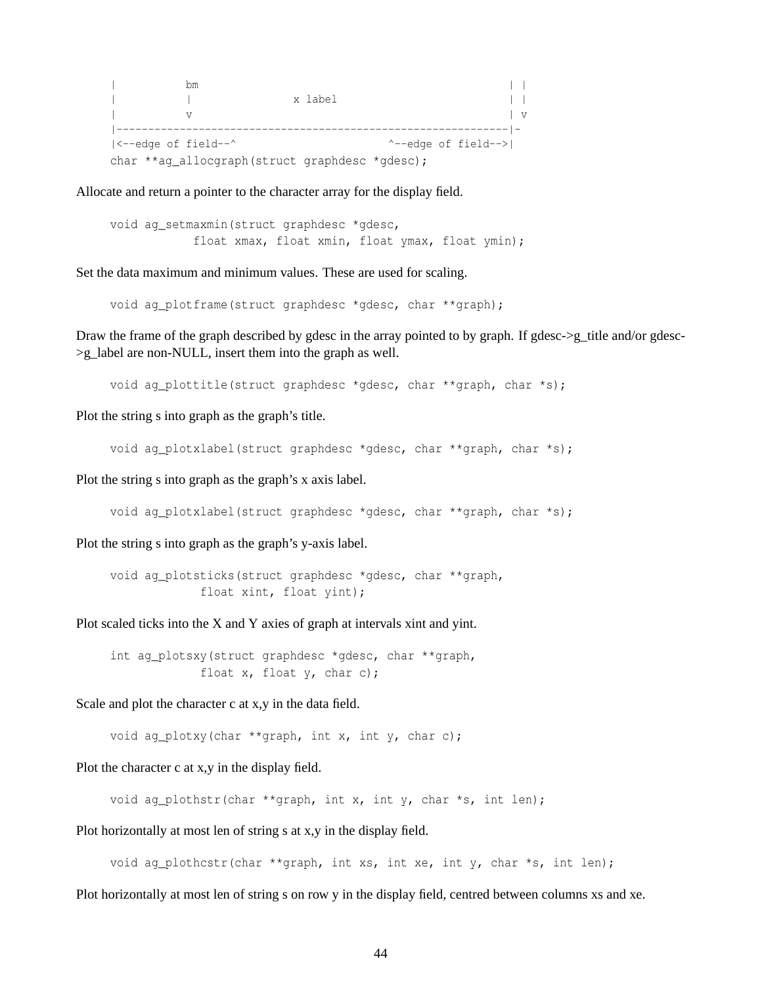$|\hspace{.6cm}|$ | | x label | | | v | v |--------------------------------------------------------------|-  $|\langle -\text{-edge of field} \rangle - \rangle$   $\land -\text{-edge of field} \rangle$ char \*\*ag\_allocgraph(struct graphdesc \*gdesc);

Allocate and return a pointer to the character array for the display field.

void ag\_setmaxmin(struct graphdesc \*gdesc, float xmax, float xmin, float ymax, float ymin);

Set the data maximum and minimum values. These are used for scaling.

void ag\_plotframe(struct graphdesc \*gdesc, char \*\*graph);

Draw the frame of the graph described by gdesc in the array pointed to by graph. If gdesc- $>g$ \_title and/or gdesc->g\_label are non-NULL, insert them into the graph as well.

void ag\_plottitle(struct graphdesc \*gdesc, char \*\*graph, char \*s);

Plot the string s into graph as the graph's title.

void ag\_plotxlabel(struct graphdesc \*gdesc, char \*\*graph, char \*s);

Plot the string s into graph as the graph's x axis label.

void ag\_plotxlabel(struct graphdesc \*gdesc, char \*\*graph, char \*s);

Plot the string s into graph as the graph's y-axis label.

```
void ag_plotsticks(struct graphdesc *gdesc, char **graph,
             float xint, float yint);
```
Plot scaled ticks into the X and Y axies of graph at intervals xint and yint.

int ag\_plotsxy(struct graphdesc \*gdesc, char \*\*graph, float x, float y, char c);

Scale and plot the character c at x,y in the data field.

void ag\_plotxy(char \*\*graph, int x, int y, char c);

Plot the character c at x,y in the display field.

void ag\_plothstr(char \*\*graph, int x, int y, char \*s, int len);

Plot horizontally at most len of string s at x,y in the display field.

void ag\_plothcstr(char \*\*graph, int xs, int xe, int y, char \*s, int len);

Plot horizontally at most len of string s on row y in the display field, centred between columns xs and xe.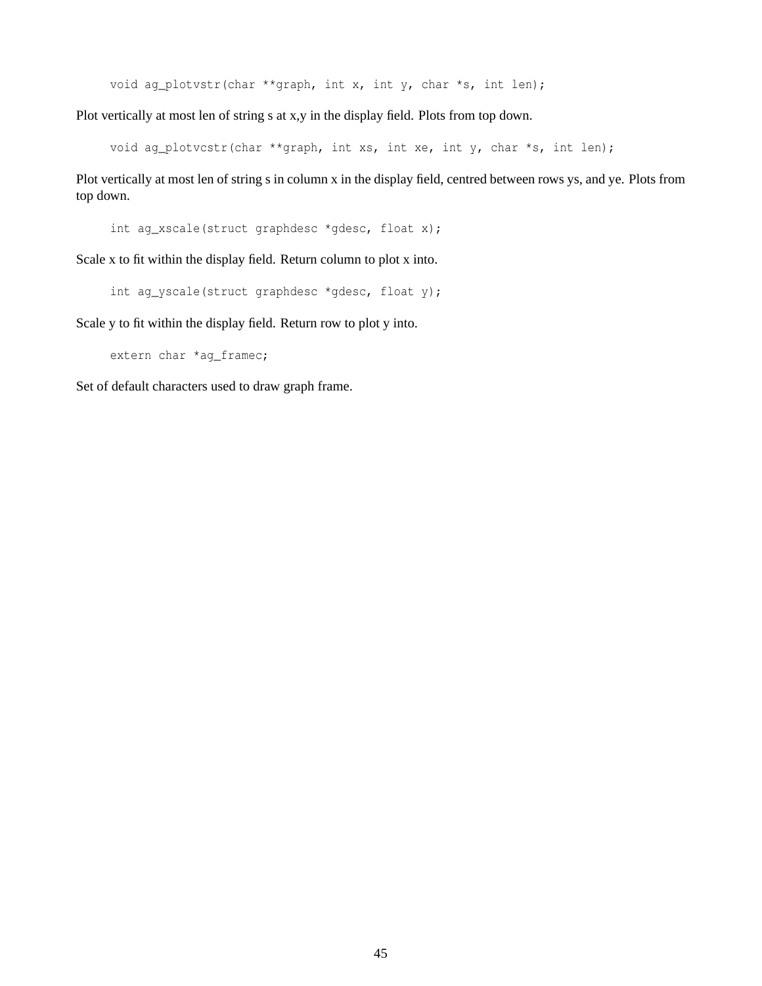void ag\_plotvstr(char \*\*graph, int x, int y, char \*s, int len);

Plot vertically at most len of string s at x,y in the display field. Plots from top down.

void ag\_plotvcstr(char \*\*graph, int xs, int xe, int y, char \*s, int len);

Plot vertically at most len of string s in column x in the display field, centred between rows ys, and ye. Plots from top down.

int ag\_xscale(struct graphdesc \*gdesc, float x);

Scale x to fit within the display field. Return column to plot x into.

int ag\_yscale(struct graphdesc \*gdesc, float y);

Scale y to fit within the display field. Return row to plot y into.

extern char \*ag\_framec;

Set of default characters used to draw graph frame.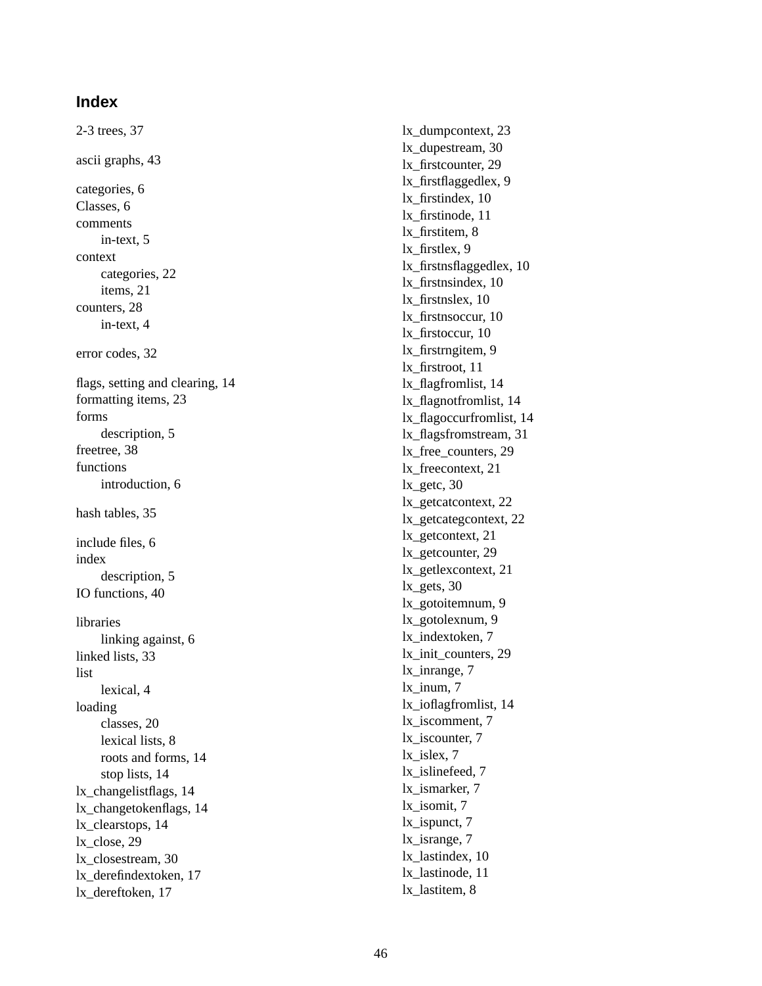## **Index**

2-3 trees, 37 ascii graphs, 43 categories, 6 Classes, 6 comments in-text, 5 context categories, 22 items, 21 counters, 28 in-text, 4 error codes, 32 flags, setting and clearing, 14 formatting items, 23 forms description, 5 freetree, 38 functions introduction, 6 hash tables, 35 include files, 6 index description, 5 IO functions, 40 libraries linking against, 6 linked lists, 33 list lexical, 4 loading classes, 20 lexical lists, 8 roots and forms, 14 stop lists, 14 lx\_changelistflags, 14 lx\_changetokenflags, 14 lx\_clearstops, 14 lx\_close, 29 lx\_closestream, 30 lx\_derefindextoken, 17 lx\_dereftoken, 17

lx\_dumpcontext, 23 lx\_dupestream, 30 lx\_firstcounter, 29 lx\_firstflaggedlex, 9 lx\_firstindex, 10 lx\_firstinode, 11 lx\_firstitem, 8 lx\_firstlex, 9 lx\_firstnsflaggedlex, 10 lx\_firstnsindex, 10 lx\_firstnslex, 10 lx\_firstnsoccur, 10 lx\_firstoccur, 10 lx\_firstrngitem, 9 lx\_firstroot, 11 lx\_flagfromlist, 14 lx\_flagnotfromlist, 14 lx\_flagoccurfromlist, 14 lx\_flagsfromstream, 31 lx\_free\_counters, 29 lx\_freecontext, 21 lx\_getc, 30 lx\_getcatcontext, 22 lx\_getcategcontext, 22 lx\_getcontext, 21 lx\_getcounter, 29 lx\_getlexcontext, 21 lx\_gets, 30 lx\_gotoitemnum, 9 lx\_gotolexnum, 9 lx\_indextoken, 7 lx\_init\_counters, 29 lx\_inrange, 7 lx\_inum, 7 lx\_ioflagfromlist, 14 lx\_iscomment, 7 lx\_iscounter, 7 lx\_islex, 7 lx\_islinefeed, 7 lx\_ismarker, 7 lx\_isomit, 7 lx\_ispunct, 7 lx\_isrange, 7 lx\_lastindex, 10 lx\_lastinode, 11 lx\_lastitem, 8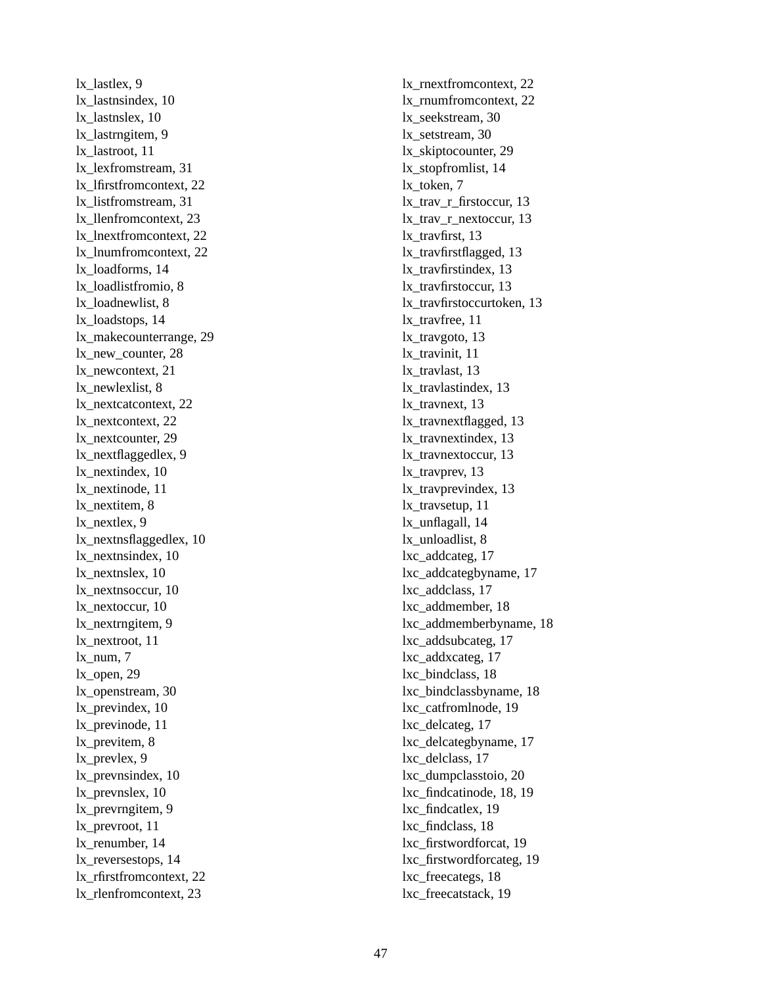lx\_lastlex, 9 lx\_lastnsindex, 10 lx\_lastnslex, 10 lx\_lastrngitem, 9 lx\_lastroot, 11 lx\_lexfromstream, 31 lx\_lfirstfromcontext, 22 lx\_listfromstream, 31 lx\_llenfromcontext, 23 lx\_lnextfromcontext, 22 lx\_lnumfromcontext, 22 lx\_loadforms, 14 lx\_loadlistfromio, 8 lx\_loadnewlist, 8 lx\_loadstops, 14 lx\_makecounterrange, 29 lx\_new\_counter, 28 lx\_newcontext, 21 lx\_newlexlist, 8 lx\_nextcatcontext, 22 lx\_nextcontext, 22 lx\_nextcounter, 29 lx\_nextflaggedlex, 9 lx\_nextindex, 10 lx\_nextinode, 11 lx\_nextitem, 8 lx\_nextlex, 9 lx\_nextnsflaggedlex, 10 lx\_nextnsindex, 10 lx\_nextnslex, 10 lx\_nextnsoccur, 10 lx\_nextoccur, 10 lx\_nextrngitem, 9 lx\_nextroot, 11 lx\_num, 7 lx\_open, 29 lx\_openstream, 30 lx\_previndex, 10 lx\_previnode, 11 lx\_previtem, 8 lx\_prevlex, 9 lx\_prevnsindex, 10 lx\_prevnslex, 10 lx prevrngitem, 9 lx\_prevroot, 11 lx\_renumber, 14 lx\_reversestops, 14 lx\_rfirstfromcontext, 22 lx\_rlenfromcontext, 23

lx\_rnextfromcontext, 22 lx\_rnumfromcontext, 22 lx\_seekstream, 30 lx\_setstream, 30 lx\_skiptocounter, 29 lx\_stopfromlist, 14 lx\_token, 7 lx\_trav\_r\_firstoccur, 13 lx\_trav\_r\_nextoccur, 13 lx\_travfirst, 13 lx\_travfirstflagged, 13 lx\_travfirstindex, 13 lx\_travfirstoccur, 13 lx\_travfirstoccurtoken, 13 lx\_travfree, 11 lx\_travgoto, 13 lx\_travinit, 11 lx\_travlast, 13 lx\_travlastindex, 13 lx\_travnext, 13 lx\_travnextflagged, 13 lx\_travnextindex, 13 lx\_travnextoccur, 13 lx\_travprev, 13 lx\_travprevindex, 13 lx\_travsetup, 11 lx\_unflagall, 14 lx\_unloadlist, 8 lxc\_addcateg, 17 lxc\_addcategbyname, 17 lxc\_addclass, 17 lxc\_addmember, 18 lxc\_addmemberbyname, 18 lxc\_addsubcateg, 17 lxc\_addxcateg, 17 lxc\_bindclass, 18 lxc\_bindclassbyname, 18 lxc\_catfromlnode, 19 lxc\_delcateg, 17 lxc\_delcategbyname, 17 lxc\_delclass, 17 lxc\_dumpclasstoio, 20 lxc\_findcatinode, 18, 19 lxc\_findcatlex, 19 lxc\_findclass, 18 lxc\_firstwordforcat, 19 lxc\_firstwordforcateg, 19 lxc\_freecategs, 18 lxc\_freecatstack, 19